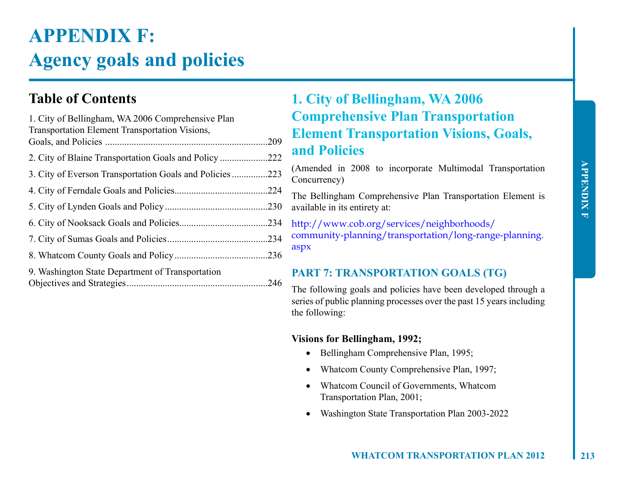# **APPENDIX F: Agency goals and policies**

## **Table of Contents**

| 1. City of Bellingham, WA 2006 Comprehensive Plan<br>Transportation Element Transportation Visions, |      |
|-----------------------------------------------------------------------------------------------------|------|
|                                                                                                     | .209 |
|                                                                                                     | .222 |
|                                                                                                     | .223 |
|                                                                                                     | .224 |
|                                                                                                     | .230 |
|                                                                                                     |      |
|                                                                                                     |      |
|                                                                                                     |      |
| 9. Washington State Department of Transportation                                                    |      |
|                                                                                                     | .246 |

## **1. City of Bellingham, WA 2006 Comprehensive Plan Transportation Element Transportation Visions, Goals, and Policies**

(Amended in 2008 to incorporate Multimodal Transportation Concurrency)

The Bellingham Comprehensive Plan Transportation Element is available in its entirety at:

http://www.cob.org/services/neighborhoods/ community-planning/transportation/long-range-planning. aspx

## **PART 7: TRANSPORTATION GOALS (TG)**

The following goals and policies have been developed through a series of public planning processes over the past 15 years including the following:

## **Visions for Bellingham, 1992;**

- Bellingham Comprehensive Plan, 1995;
- Whatcom County Comprehensive Plan, 1997;
- Whatcom Council of Governments, Whatcom Transportation Plan, 2001;
- Washington State Transportation Plan 2003-2022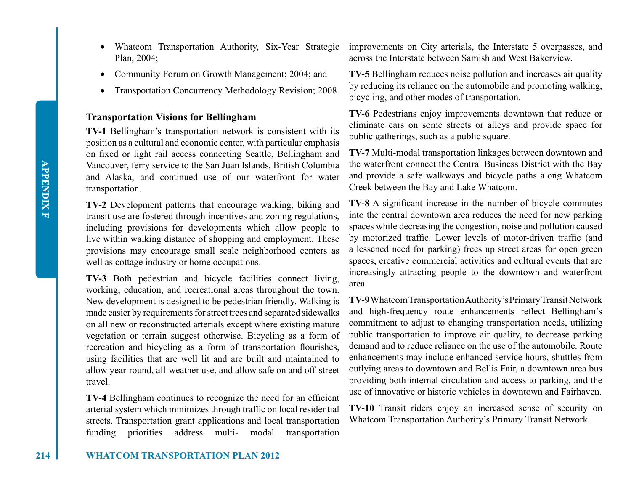- Plan, 2004;
- Community Forum on Growth Management; 2004; and
- Transportation Concurrency Methodology Revision; 2008.

## **Transportation Visions for Bellingham**

**TV-1** Bellingham's transportation network is consistent with its position as a cultural and economic center, with particular emphasis on fixed or light rail access connecting Seattle, Bellingham and Vancouver, ferry service to the San Juan Islands, British Columbia and Alaska, and continued use of our waterfront for water transportation.

**TV-2** Development patterns that encourage walking, biking and transit use are fostered through incentives and zoning regulations, including provisions for developments which allow people to live within walking distance of shopping and employment. These provisions may encourage small scale neighborhood centers as well as cottage industry or home occupations.

**TV-3** Both pedestrian and bicycle facilities connect living, working, education, and recreational areas throughout the town. New development is designed to be pedestrian friendly. Walking is made easier by requirements for street trees and separated sidewalks on all new or reconstructed arterials except where existing mature vegetation or terrain suggest otherwise. Bicycling as a form of recreation and bicycling as a form of transportation flourishes, using facilities that are well lit and are built and maintained to allow year-round, all-weather use, and allow safe on and off-street travel.

**TV-4** Bellingham continues to recognize the need for an efficient arterial system which minimizes through traffic on local residential streets. Transportation grant applications and local transportation funding priorities address multi- modal transportation

• Whatcom Transportation Authority, Six-Year Strategic improvements on City arterials, the Interstate 5 overpasses, and across the Interstate between Samish and West Bakerview.

> **TV-5** Bellingham reduces noise pollution and increases air quality by reducing its reliance on the automobile and promoting walking, bicycling, and other modes of transportation.

> **TV-6** Pedestrians enjoy improvements downtown that reduce or eliminate cars on some streets or alleys and provide space for public gatherings, such as a public square.

> **TV-7** Multi-modal transportation linkages between downtown and the waterfront connect the Central Business District with the Bay and provide a safe walkways and bicycle paths along Whatcom Creek between the Bay and Lake Whatcom.

> **TV-8** A significant increase in the number of bicycle commutes into the central downtown area reduces the need for new parking spaces while decreasing the congestion, noise and pollution caused by motorized traffic. Lower levels of motor-driven traffic (and a lessened need for parking) frees up street areas for open green spaces, creative commercial activities and cultural events that are increasingly attracting people to the downtown and waterfront area.

> **TV-9** Whatcom Transportation Authority's Primary Transit Network and high-frequency route enhancements reflect Bellingham's commitment to adjust to changing transportation needs, utilizing public transportation to improve air quality, to decrease parking demand and to reduce reliance on the use of the automobile. Route enhancements may include enhanced service hours, shuttles from outlying areas to downtown and Bellis Fair, a downtown area bus providing both internal circulation and access to parking, and the use of innovative or historic vehicles in downtown and Fairhaven.

> **TV-10** Transit riders enjoy an increased sense of security on Whatcom Transportation Authority's Primary Transit Network.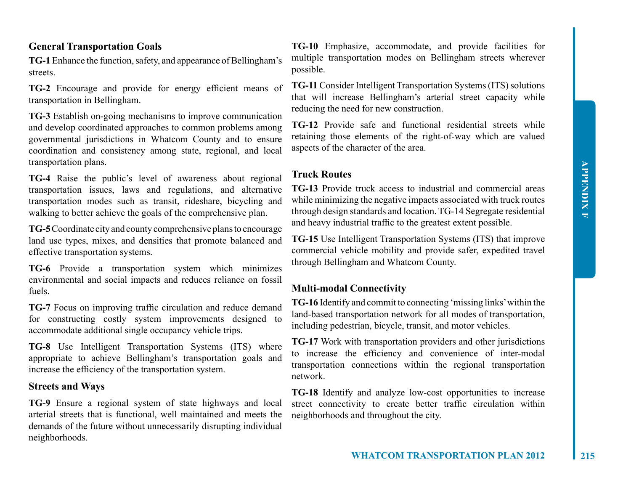## **General Transportation Goals**

**TG-1** Enhance the function, safety, and appearance of Bellingham's streets.

**TG-2** Encourage and provide for energy efficient means of transportation in Bellingham.

**TG-3** Establish on-going mechanisms to improve communication and develop coordinated approaches to common problems among governmental jurisdictions in Whatcom County and to ensure coordination and consistency among state, regional, and local transportation plans.

**TG-4** Raise the public's level of awareness about regional transportation issues, laws and regulations, and alternative transportation modes such as transit, rideshare, bicycling and walking to better achieve the goals of the comprehensive plan.

**TG-5** Coordinate city and county comprehensive plans to encourage land use types, mixes, and densities that promote balanced and effective transportation systems.

**TG-6** Provide a transportation system which minimizes environmental and social impacts and reduces reliance on fossil fuels.

**TG-7** Focus on improving traffic circulation and reduce demand for constructing costly system improvements designed to accommodate additional single occupancy vehicle trips.

**TG-8** Use Intelligent Transportation Systems (ITS) where appropriate to achieve Bellingham's transportation goals and increase the efficiency of the transportation system.

## **Streets and Ways**

**TG-9** Ensure a regional system of state highways and local arterial streets that is functional, well maintained and meets the demands of the future without unnecessarily disrupting individual neighborhoods.

**TG-10** Emphasize, accommodate, and provide facilities for multiple transportation modes on Bellingham streets wherever possible.

**TG-11** Consider Intelligent Transportation Systems (ITS) solutions that will increase Bellingham's arterial street capacity while reducing the need for new construction.

**TG-12** Provide safe and functional residential streets while retaining those elements of the right-of-way which are valued aspects of the character of the area.

## **Truck Routes**

**TG-13** Provide truck access to industrial and commercial areas while minimizing the negative impacts associated with truck routes through design standards and location. TG-14 Segregate residential and heavy industrial traffic to the greatest extent possible.

**TG-15** Use Intelligent Transportation Systems (ITS) that improve commercial vehicle mobility and provide safer, expedited travel through Bellingham and Whatcom County.

## **Multi-modal Connectivity**

**TG-16** Identify and commit to connecting 'missing links' within the land-based transportation network for all modes of transportation, including pedestrian, bicycle, transit, and motor vehicles.

**TG-17** Work with transportation providers and other jurisdictions to increase the efficiency and convenience of inter-modal transportation connections within the regional transportation network.

**TG-18** Identify and analyze low-cost opportunities to increase street connectivity to create better traffic circulation within neighborhoods and throughout the city.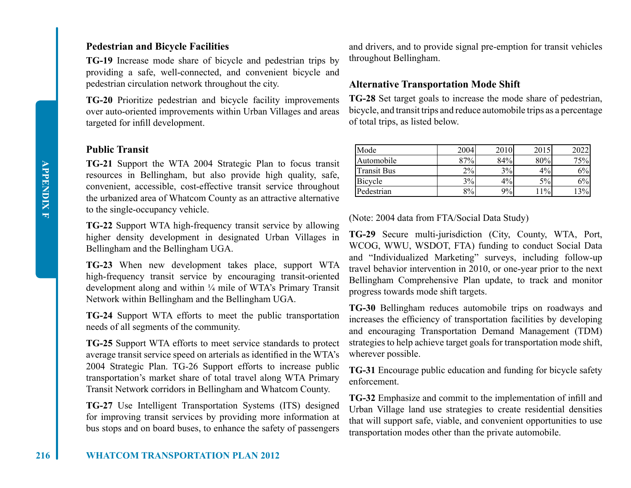## **Pedestrian and Bicycle Facilities**

**TG-19** Increase mode share of bicycle and pedestrian trips by providing a safe, well-connected, and convenient bicycle and pedestrian circulation network throughout the city.

**TG-20** Prioritize pedestrian and bicycle facility improvements over auto-oriented improvements within Urban Villages and areas targeted for infill development.

## **Public Transit**

**TG-21** Support the WTA 2004 Strategic Plan to focus transit resources in Bellingham, but also provide high quality, safe, convenient, accessible, cost-effective transit service throughout the urbanized area of Whatcom County as an attractive alternative to the single-occupancy vehicle.

**TG-22** Support WTA high-frequency transit service by allowing higher density development in designated Urban Villages in Bellingham and the Bellingham UGA.

**TG-23** When new development takes place, support WTA high-frequency transit service by encouraging transit-oriented development along and within ¼ mile of WTA's Primary Transit Network within Bellingham and the Bellingham UGA.

**TG-24** Support WTA efforts to meet the public transportation needs of all segments of the community.

**TG-25** Support WTA efforts to meet service standards to protect average transit service speed on arterials as identified in the WTA's 2004 Strategic Plan. TG-26 Support efforts to increase public transportation's market share of total travel along WTA Primary Transit Network corridors in Bellingham and Whatcom County.

**TG-27** Use Intelligent Transportation Systems (ITS) designed for improving transit services by providing more information at bus stops and on board buses, to enhance the safety of passengers and drivers, and to provide signal pre-emption for transit vehicles throughout Bellingham.

## **Alternative Transportation Mode Shift**

**TG-28** Set target goals to increase the mode share of pedestrian, bicycle, and transit trips and reduce automobile trips as a percentage of total trips, as listed below.

| Mode        | 2004  | 2010 | 2015  |       |
|-------------|-------|------|-------|-------|
| Automobile  | 87%   | 84%  | 80%   | 75%   |
| Transit Bus | $2\%$ | 3%   | $4\%$ | $6\%$ |
| Bicycle     | 3%    | 4%   | 5%    | $6\%$ |
| Pedestrian  | 8%    | 9%   | $1\%$ | 13%   |

(Note: 2004 data from FTA/Social Data Study)

**TG-29** Secure multi-jurisdiction (City, County, WTA, Port, WCOG, WWU, WSDOT, FTA) funding to conduct Social Data and "Individualized Marketing" surveys, including follow-up travel behavior intervention in 2010, or one-year prior to the next Bellingham Comprehensive Plan update, to track and monitor progress towards mode shift targets.

**TG-30** Bellingham reduces automobile trips on roadways and increases the efficiency of transportation facilities by developing and encouraging Transportation Demand Management (TDM) strategies to help achieve target goals for transportation mode shift, wherever possible.

**TG-31** Encourage public education and funding for bicycle safety enforcement.

**TG-32** Emphasize and commit to the implementation of infill and Urban Village land use strategies to create residential densities that will support safe, viable, and convenient opportunities to use transportation modes other than the private automobile.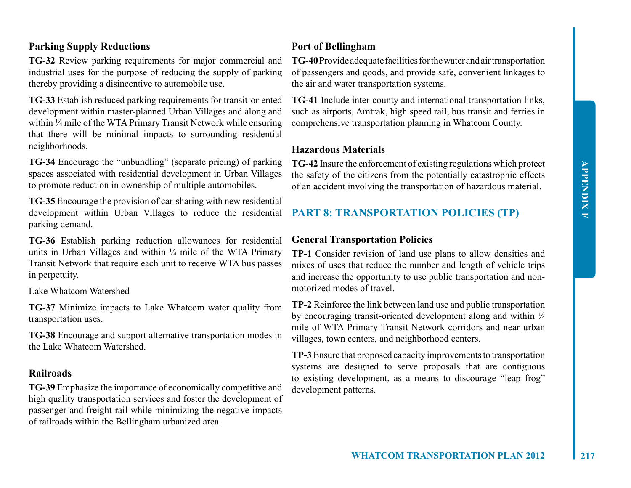## **Parking Supply Reductions**

**TG-32** Review parking requirements for major commercial and industrial uses for the purpose of reducing the supply of parking thereby providing a disincentive to automobile use.

**TG-33** Establish reduced parking requirements for transit-oriented development within master-planned Urban Villages and along and within ¼ mile of the WTA Primary Transit Network while ensuring that there will be minimal impacts to surrounding residential neighborhoods.

**TG-34** Encourage the "unbundling" (separate pricing) of parking spaces associated with residential development in Urban Villages to promote reduction in ownership of multiple automobiles.

**TG-35** Encourage the provision of car-sharing with new residential development within Urban Villages to reduce the residential parking demand.

**TG-36** Establish parking reduction allowances for residential units in Urban Villages and within  $\frac{1}{4}$  mile of the WTA Primary Transit Network that require each unit to receive WTA bus passes in perpetuity.

Lake Whatcom Watershed

**TG-37** Minimize impacts to Lake Whatcom water quality from transportation uses.

**TG-38** Encourage and support alternative transportation modes in the Lake Whatcom Watershed.

### **Railroads**

**TG-39** Emphasize the importance of economically competitive and high quality transportation services and foster the development of passenger and freight rail while minimizing the negative impacts of railroads within the Bellingham urbanized area.

## **Port of Bellingham**

**TG-40** Provide adequate facilities for the water and air transportation of passengers and goods, and provide safe, convenient linkages to the air and water transportation systems.

**TG-41** Include inter-county and international transportation links, such as airports, Amtrak, high speed rail, bus transit and ferries in comprehensive transportation planning in Whatcom County.

## **Hazardous Materials**

**TG-42** Insure the enforcement of existing regulations which protect the safety of the citizens from the potentially catastrophic effects of an accident involving the transportation of hazardous material.

## **PART 8: TRANSPORTATION POLICIES (TP)**

## **General Transportation Policies**

**TP-1** Consider revision of land use plans to allow densities and mixes of uses that reduce the number and length of vehicle trips and increase the opportunity to use public transportation and nonmotorized modes of travel.

**TP-2** Reinforce the link between land use and public transportation by encouraging transit-oriented development along and within  $\frac{1}{4}$ mile of WTA Primary Transit Network corridors and near urban villages, town centers, and neighborhood centers.

**TP-3** Ensure that proposed capacity improvements to transportation systems are designed to serve proposals that are contiguous to existing development, as a means to discourage "leap frog" development patterns.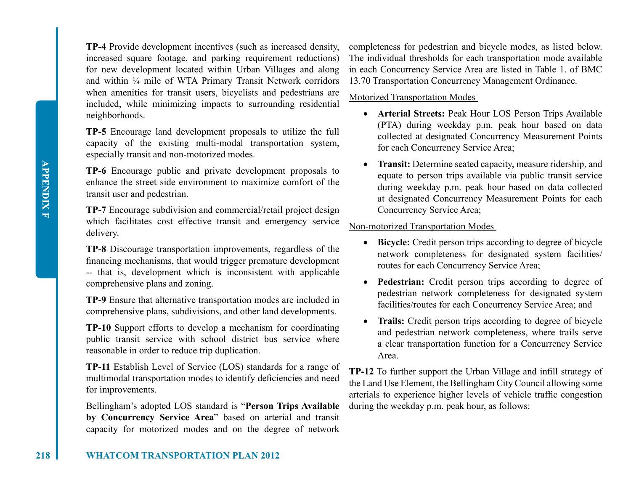**TP-4** Provide development incentives (such as increased density, increased square footage, and parking requirement reductions) for new development located within Urban Villages and along and within ¼ mile of WTA Primary Transit Network corridors when amenities for transit users, bicyclists and pedestrians are included, while minimizing impacts to surrounding residential neighborhoods.

**TP-5** Encourage land development proposals to utilize the full capacity of the existing multi-modal transportation system, especially transit and non-motorized modes.

**TP-6** Encourage public and private development proposals to enhance the street side environment to maximize comfort of the transit user and pedestrian.

**TP-7** Encourage subdivision and commercial/retail project design which facilitates cost effective transit and emergency service delivery.

**TP-8** Discourage transportation improvements, regardless of the financing mechanisms, that would trigger premature development -- that is, development which is inconsistent with applicable comprehensive plans and zoning.

**TP-9** Ensure that alternative transportation modes are included in comprehensive plans, subdivisions, and other land developments.

**TP-10** Support efforts to develop a mechanism for coordinating public transit service with school district bus service where reasonable in order to reduce trip duplication.

**TP-11** Establish Level of Service (LOS) standards for a range of multimodal transportation modes to identify deficiencies and need for improvements.

Bellingham's adopted LOS standard is "**Person Trips Available by Concurrency Service Area**" based on arterial and transit capacity for motorized modes and on the degree of network

completeness for pedestrian and bicycle modes, as listed below. The individual thresholds for each transportation mode available in each Concurrency Service Area are listed in Table 1. of BMC 13.70 Transportation Concurrency Management Ordinance.

## Motorized Transportation Modes

- • **Arterial Streets:** Peak Hour LOS Person Trips Available (PTA) during weekday p.m. peak hour based on data collected at designated Concurrency Measurement Points for each Concurrency Service Area;
- **Transit:** Determine seated capacity, measure ridership, and equate to person trips available via public transit service during weekday p.m. peak hour based on data collected at designated Concurrency Measurement Points for each Concurrency Service Area;

## Non-motorized Transportation Modes

- • **Bicycle:** Credit person trips according to degree of bicycle network completeness for designated system facilities/ routes for each Concurrency Service Area;
- **Pedestrian:** Credit person trips according to degree of pedestrian network completeness for designated system facilities/routes for each Concurrency Service Area; and
- • **Trails:** Credit person trips according to degree of bicycle and pedestrian network completeness, where trails serve a clear transportation function for a Concurrency Service Area.

**TP-12** To further support the Urban Village and infill strategy of the Land Use Element, the Bellingham City Council allowing some arterials to experience higher levels of vehicle traffic congestion during the weekday p.m. peak hour, as follows: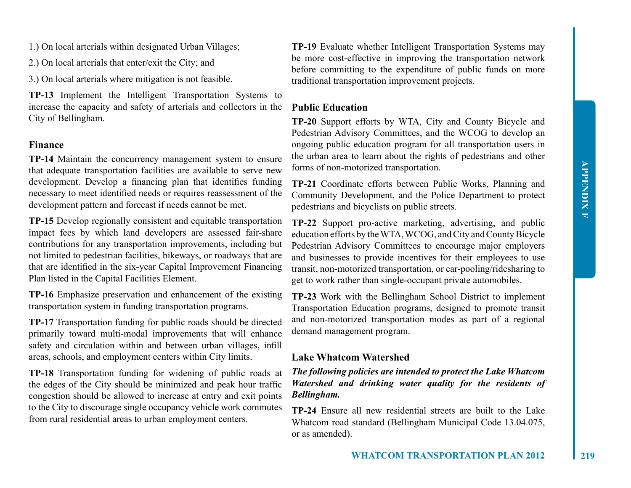- 1.) On local arterials within designated Urban Villages;
- 2.) On local arterials that enter/exit the City; and
- 3.) On local arterials where mitigation is not feasible.

**TP-13** Implement the Intelligent Transportation Systems to increase the capacity and safety of arterials and collectors in the City of Bellingham.

## **Finance**

**TP-14** Maintain the concurrency management system to ensure that adequate transportation facilities are available to serve new development. Develop a financing plan that identifies funding necessary to meet identified needs or requires reassessment of the development pattern and forecast if needs cannot be met.

**TP-15** Develop regionally consistent and equitable transportation impact fees by which land developers are assessed fair-share contributions for any transportation improvements, including but not limited to pedestrian facilities, bikeways, or roadways that are that are identified in the six-year Capital Improvement Financing Plan listed in the Capital Facilities Element.

**TP-16** Emphasize preservation and enhancement of the existing transportation system in funding transportation programs.

**TP-17** Transportation funding for public roads should be directed primarily toward multi-modal improvements that will enhance safety and circulation within and between urban villages, infill areas, schools, and employment centers within City limits.

**TP-18** Transportation funding for widening of public roads at the edges of the City should be minimized and peak hour traffic congestion should be allowed to increase at entry and exit points to the City to discourage single occupancy vehicle work commutes from rural residential areas to urban employment centers.

**TP-19** Evaluate whether Intelligent Transportation Systems may be more cost-effective in improving the transportation network before committing to the expenditure of public funds on more traditional transportation improvement projects.

## **Public Education**

**TP-20** Support efforts by WTA, City and County Bicycle and Pedestrian Advisory Committees, and the WCOG to develop an ongoing public education program for all transportation users in the urban area to learn about the rights of pedestrians and other forms of non-motorized transportation.

**TP-21** Coordinate efforts between Public Works, Planning and Community Development, and the Police Department to protect pedestrians and bicyclists on public streets.

**TP-22** Support pro-active marketing, advertising, and public education efforts by the WTA, WCOG, and City and County Bicycle Pedestrian Advisory Committees to encourage major employers and businesses to provide incentives for their employees to use transit, non-motorized transportation, or car-pooling/ridesharing to get to work rather than single-occupant private automobiles.

**TP-23** Work with the Bellingham School District to implement Transportation Education programs, designed to promote transit and non-motorized transportation modes as part of a regional demand management program.

#### **Lake Whatcom Watershed**

*The following policies are intended to protect the Lake Whatcom Watershed and drinking water quality for the residents of Bellingham.* 

**TP-24** Ensure all new residential streets are built to the Lake Whatcom road standard (Bellingham Municipal Code 13.04.075, or as amended).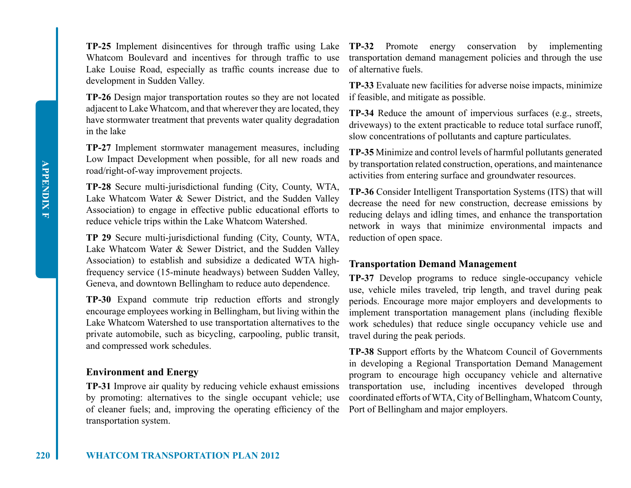**TP-25** Implement disincentives for through traffic using Lake Whatcom Boulevard and incentives for through traffic to use Lake Louise Road, especially as traffic counts increase due to development in Sudden Valley.

**TP-26** Design major transportation routes so they are not located adjacent to Lake Whatcom, and that wherever they are located, they have stormwater treatment that prevents water quality degradation in the lake

**TP-27** Implement stormwater management measures, including Low Impact Development when possible, for all new roads and road/right-of-way improvement projects.

**TP-28** Secure multi-jurisdictional funding (City, County, WTA, Lake Whatcom Water & Sewer District, and the Sudden Valley Association) to engage in effective public educational efforts to reduce vehicle trips within the Lake Whatcom Watershed.

**TP 29** Secure multi-jurisdictional funding (City, County, WTA, Lake Whatcom Water & Sewer District, and the Sudden Valley Association) to establish and subsidize a dedicated WTA highfrequency service (15-minute headways) between Sudden Valley, Geneva, and downtown Bellingham to reduce auto dependence.

**TP-30** Expand commute trip reduction efforts and strongly encourage employees working in Bellingham, but living within the Lake Whatcom Watershed to use transportation alternatives to the private automobile, such as bicycling, carpooling, public transit, and compressed work schedules.

## **Environment and Energy**

**TP-31** Improve air quality by reducing vehicle exhaust emissions by promoting: alternatives to the single occupant vehicle; use of cleaner fuels; and, improving the operating efficiency of the Port of Bellingham and major employers. transportation system.

**TP-32** Promote energy conservation by implementing transportation demand management policies and through the use of alternative fuels.

**TP-33** Evaluate new facilities for adverse noise impacts, minimize if feasible, and mitigate as possible.

**TP-34** Reduce the amount of impervious surfaces (e.g., streets, driveways) to the extent practicable to reduce total surface runoff, slow concentrations of pollutants and capture particulates.

**TP-35** Minimize and control levels of harmful pollutants generated by transportation related construction, operations, and maintenance activities from entering surface and groundwater resources.

**TP-36** Consider Intelligent Transportation Systems (ITS) that will decrease the need for new construction, decrease emissions by reducing delays and idling times, and enhance the transportation network in ways that minimize environmental impacts and reduction of open space.

## **Transportation Demand Management**

**TP-37** Develop programs to reduce single-occupancy vehicle use, vehicle miles traveled, trip length, and travel during peak periods. Encourage more major employers and developments to implement transportation management plans (including flexible work schedules) that reduce single occupancy vehicle use and travel during the peak periods.

**TP-38** Support efforts by the Whatcom Council of Governments in developing a Regional Transportation Demand Management program to encourage high occupancy vehicle and alternative transportation use, including incentives developed through coordinated efforts of WTA, City of Bellingham, Whatcom County,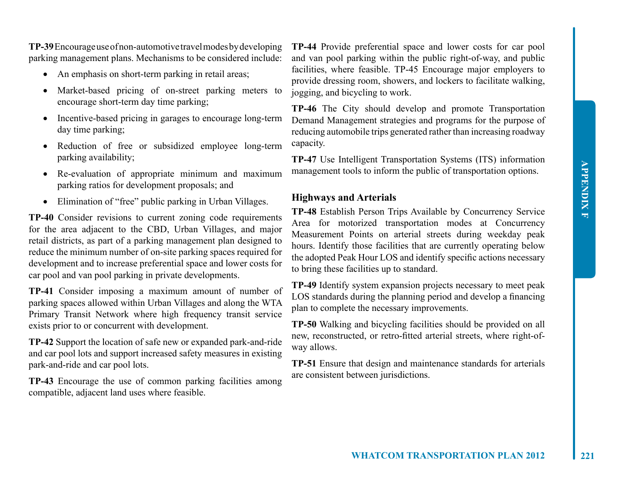**TP-39** Encourage use of non-automotive travel modes by developing parking management plans. Mechanisms to be considered include:

- An emphasis on short-term parking in retail areas;
- Market-based pricing of on-street parking meters to encourage short-term day time parking;
- Incentive-based pricing in garages to encourage long-term day time parking;
- Reduction of free or subsidized employee long-term parking availability;
- Re-evaluation of appropriate minimum and maximum parking ratios for development proposals; and
- Elimination of "free" public parking in Urban Villages.

**TP-40** Consider revisions to current zoning code requirements for the area adjacent to the CBD, Urban Villages, and major retail districts, as part of a parking management plan designed to reduce the minimum number of on-site parking spaces required for development and to increase preferential space and lower costs for car pool and van pool parking in private developments.

**TP-41** Consider imposing a maximum amount of number of parking spaces allowed within Urban Villages and along the WTA Primary Transit Network where high frequency transit service exists prior to or concurrent with development.

**TP-42** Support the location of safe new or expanded park-and-ride and car pool lots and support increased safety measures in existing park-and-ride and car pool lots.

**TP-43** Encourage the use of common parking facilities among compatible, adjacent land uses where feasible.

**TP-44** Provide preferential space and lower costs for car pool and van pool parking within the public right-of-way, and public facilities, where feasible. TP-45 Encourage major employers to provide dressing room, showers, and lockers to facilitate walking, jogging, and bicycling to work.

**TP-46** The City should develop and promote Transportation Demand Management strategies and programs for the purpose of reducing automobile trips generated rather than increasing roadway capacity.

**TP-47** Use Intelligent Transportation Systems (ITS) information management tools to inform the public of transportation options.

## **Highways and Arterials**

**TP-48** Establish Person Trips Available by Concurrency Service Area for motorized transportation modes at Concurrency Measurement Points on arterial streets during weekday peak hours. Identify those facilities that are currently operating below the adopted Peak Hour LOS and identify specific actions necessary to bring these facilities up to standard.

**TP-49** Identify system expansion projects necessary to meet peak LOS standards during the planning period and develop a financing plan to complete the necessary improvements.

**TP-50** Walking and bicycling facilities should be provided on all new, reconstructed, or retro-fitted arterial streets, where right-ofway allows.

**TP-51** Ensure that design and maintenance standards for arterials are consistent between jurisdictions.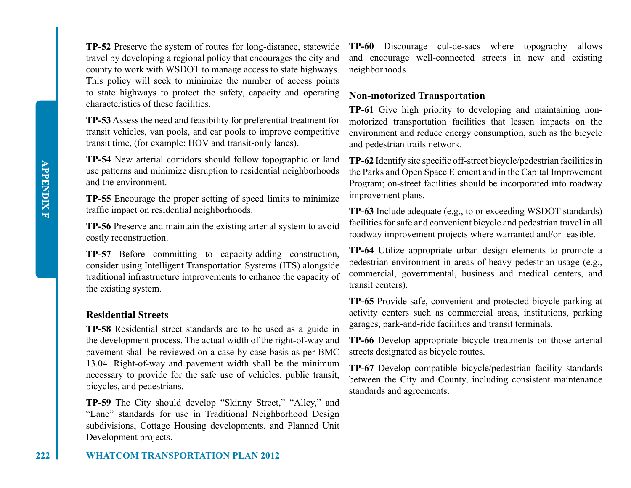**TP-52** Preserve the system of routes for long-distance, statewide travel by developing a regional policy that encourages the city and county to work with WSDOT to manage access to state highways. This policy will seek to minimize the number of access points to state highways to protect the safety, capacity and operating characteristics of these facilities.

**TP-53** Assess the need and feasibility for preferential treatment for transit vehicles, van pools, and car pools to improve competitive transit time, (for example: HOV and transit-only lanes).

**TP-54** New arterial corridors should follow topographic or land use patterns and minimize disruption to residential neighborhoods and the environment.

**TP-55** Encourage the proper setting of speed limits to minimize traffic impact on residential neighborhoods.

**TP-56** Preserve and maintain the existing arterial system to avoid costly reconstruction.

**TP-57** Before committing to capacity-adding construction, consider using Intelligent Transportation Systems (ITS) alongside traditional infrastructure improvements to enhance the capacity of the existing system.

## **Residential Streets**

**TP-58** Residential street standards are to be used as a guide in the development process. The actual width of the right-of-way and pavement shall be reviewed on a case by case basis as per BMC 13.04. Right-of-way and pavement width shall be the minimum necessary to provide for the safe use of vehicles, public transit, bicycles, and pedestrians.

**TP-59** The City should develop "Skinny Street," "Alley," and "Lane" standards for use in Traditional Neighborhood Design subdivisions, Cottage Housing developments, and Planned Unit Development projects.

**TP-60** Discourage cul-de-sacs where topography allows and encourage well-connected streets in new and existing neighborhoods.

## **Non-motorized Transportation**

**TP-61** Give high priority to developing and maintaining nonmotorized transportation facilities that lessen impacts on the environment and reduce energy consumption, such as the bicycle and pedestrian trails network.

**TP-62** Identify site specific off-street bicycle/pedestrian facilities in the Parks and Open Space Element and in the Capital Improvement Program; on-street facilities should be incorporated into roadway improvement plans.

**TP-63** Include adequate (e.g., to or exceeding WSDOT standards) facilities for safe and convenient bicycle and pedestrian travel in all roadway improvement projects where warranted and/or feasible.

**TP-64** Utilize appropriate urban design elements to promote a pedestrian environment in areas of heavy pedestrian usage (e.g., commercial, governmental, business and medical centers, and transit centers).

**TP-65** Provide safe, convenient and protected bicycle parking at activity centers such as commercial areas, institutions, parking garages, park-and-ride facilities and transit terminals.

**TP-66** Develop appropriate bicycle treatments on those arterial streets designated as bicycle routes.

**TP-67** Develop compatible bicycle/pedestrian facility standards between the City and County, including consistent maintenance standards and agreements.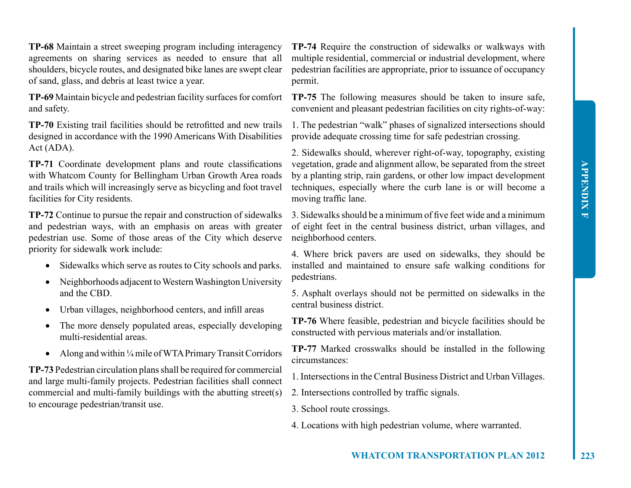**TP-68** Maintain a street sweeping program including interagency agreements on sharing services as needed to ensure that all shoulders, bicycle routes, and designated bike lanes are swept clear of sand, glass, and debris at least twice a year.

**TP-69** Maintain bicycle and pedestrian facility surfaces for comfort and safety.

**TP-70** Existing trail facilities should be retrofitted and new trails designed in accordance with the 1990 Americans With Disabilities Act (ADA).

**TP-71** Coordinate development plans and route classifications with Whatcom County for Bellingham Urban Growth Area roads and trails which will increasingly serve as bicycling and foot travel facilities for City residents.

**TP-72** Continue to pursue the repair and construction of sidewalks and pedestrian ways, with an emphasis on areas with greater pedestrian use. Some of those areas of the City which deserve priority for sidewalk work include:

- Sidewalks which serve as routes to City schools and parks.
- Neighborhoods adjacent to Western Washington University and the CBD.
- Urban villages, neighborhood centers, and infill areas
- The more densely populated areas, especially developing multi-residential areas.
- Along and within  $\frac{1}{4}$  mile of WTA Primary Transit Corridors

**TP-73** Pedestrian circulation plans shall be required for commercial and large multi-family projects. Pedestrian facilities shall connect commercial and multi-family buildings with the abutting street(s) to encourage pedestrian/transit use.

**TP-74** Require the construction of sidewalks or walkways with multiple residential, commercial or industrial development, where pedestrian facilities are appropriate, prior to issuance of occupancy permit.

**TP-75** The following measures should be taken to insure safe, convenient and pleasant pedestrian facilities on city rights-of-way:

1. The pedestrian "walk" phases of signalized intersections should provide adequate crossing time for safe pedestrian crossing.

2. Sidewalks should, wherever right-of-way, topography, existing vegetation, grade and alignment allow, be separated from the street by a planting strip, rain gardens, or other low impact development techniques, especially where the curb lane is or will become a moving traffic lane.

3. Sidewalks should be a minimum of five feet wide and a minimum of eight feet in the central business district, urban villages, and neighborhood centers.

4. Where brick pavers are used on sidewalks, they should be installed and maintained to ensure safe walking conditions for pedestrians.

5. Asphalt overlays should not be permitted on sidewalks in the central business district.

**TP-76** Where feasible, pedestrian and bicycle facilities should be constructed with pervious materials and/or installation.

**TP-77** Marked crosswalks should be installed in the following circumstances:

1. Intersections in the Central Business District and Urban Villages.

2. Intersections controlled by traffic signals.

3. School route crossings.

4. Locations with high pedestrian volume, where warranted.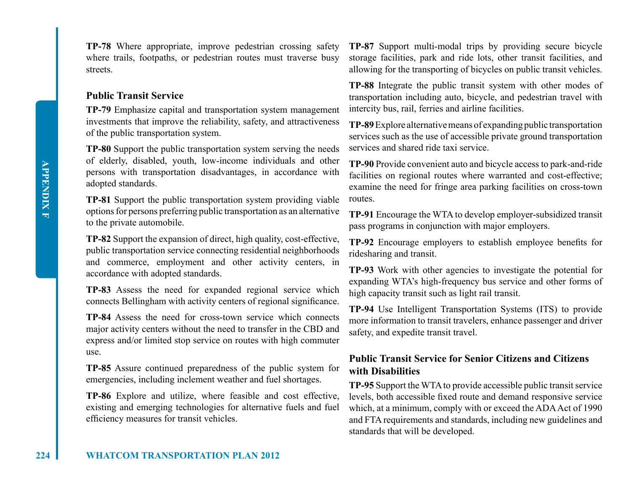**224 WHATCOM TRANSPORTATION PLAN 2012**

**TP-78** Where appropriate, improve pedestrian crossing safety where trails, footpaths, or pedestrian routes must traverse busy streets.

## **Public Transit Service**

**TP-79** Emphasize capital and transportation system management investments that improve the reliability, safety, and attractiveness of the public transportation system.

**TP-80** Support the public transportation system serving the needs of elderly, disabled, youth, low-income individuals and other persons with transportation disadvantages, in accordance with adopted standards.

**TP-81** Support the public transportation system providing viable options for persons preferring public transportation as an alternative to the private automobile.

**TP-82** Support the expansion of direct, high quality, cost-effective, public transportation service connecting residential neighborhoods and commerce, employment and other activity centers, in accordance with adopted standards.

**TP-83** Assess the need for expanded regional service which connects Bellingham with activity centers of regional significance.

**TP-84** Assess the need for cross-town service which connects major activity centers without the need to transfer in the CBD and express and/or limited stop service on routes with high commuter use.

**TP-85** Assure continued preparedness of the public system for emergencies, including inclement weather and fuel shortages.

**TP-86** Explore and utilize, where feasible and cost effective, existing and emerging technologies for alternative fuels and fuel efficiency measures for transit vehicles.

**TP-87** Support multi-modal trips by providing secure bicycle storage facilities, park and ride lots, other transit facilities, and allowing for the transporting of bicycles on public transit vehicles.

**TP-88** Integrate the public transit system with other modes of transportation including auto, bicycle, and pedestrian travel with intercity bus, rail, ferries and airline facilities.

**TP-89** Explore alternative means of expanding public transportation services such as the use of accessible private ground transportation services and shared ride taxi service.

**TP-90** Provide convenient auto and bicycle access to park-and-ride facilities on regional routes where warranted and cost-effective; examine the need for fringe area parking facilities on cross-town routes.

**TP-91** Encourage the WTA to develop employer-subsidized transit pass programs in conjunction with major employers.

**TP-92** Encourage employers to establish employee benefits for ridesharing and transit.

**TP-93** Work with other agencies to investigate the potential for expanding WTA's high-frequency bus service and other forms of high capacity transit such as light rail transit.

**TP-94** Use Intelligent Transportation Systems (ITS) to provide more information to transit travelers, enhance passenger and driver safety, and expedite transit travel.

## **Public Transit Service for Senior Citizens and Citizens with Disabilities**

**TP-95** Support the WTA to provide accessible public transit service levels, both accessible fixed route and demand responsive service which, at a minimum, comply with or exceed the ADA Act of 1990 and FTA requirements and standards, including new guidelines and standards that will be developed.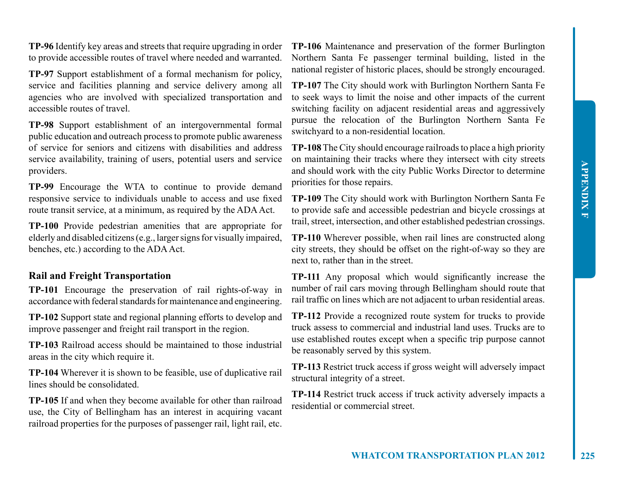**TP-96** Identify key areas and streets that require upgrading in order to provide accessible routes of travel where needed and warranted.

**TP-97** Support establishment of a formal mechanism for policy, service and facilities planning and service delivery among all agencies who are involved with specialized transportation and accessible routes of travel.

**TP-98** Support establishment of an intergovernmental formal public education and outreach process to promote public awareness of service for seniors and citizens with disabilities and address service availability, training of users, potential users and service providers.

**TP-99** Encourage the WTA to continue to provide demand responsive service to individuals unable to access and use fixed route transit service, at a minimum, as required by the ADA Act.

**TP-100** Provide pedestrian amenities that are appropriate for elderly and disabled citizens (e.g., larger signs for visually impaired, benches, etc.) according to the ADA Act.

## **Rail and Freight Transportation**

**TP-101** Encourage the preservation of rail rights-of-way in accordance with federal standards for maintenance and engineering.

**TP-102** Support state and regional planning efforts to develop and improve passenger and freight rail transport in the region.

**TP-103** Railroad access should be maintained to those industrial areas in the city which require it.

**TP-104** Wherever it is shown to be feasible, use of duplicative rail lines should be consolidated.

**TP-105** If and when they become available for other than railroad use, the City of Bellingham has an interest in acquiring vacant railroad properties for the purposes of passenger rail, light rail, etc.

**TP-106** Maintenance and preservation of the former Burlington Northern Santa Fe passenger terminal building, listed in the national register of historic places, should be strongly encouraged.

**TP-107** The City should work with Burlington Northern Santa Fe to seek ways to limit the noise and other impacts of the current switching facility on adjacent residential areas and aggressively pursue the relocation of the Burlington Northern Santa Fe switchyard to a non-residential location.

**TP-108** The City should encourage railroads to place a high priority on maintaining their tracks where they intersect with city streets and should work with the city Public Works Director to determine priorities for those repairs.

**TP-109** The City should work with Burlington Northern Santa Fe to provide safe and accessible pedestrian and bicycle crossings at trail, street, intersection, and other established pedestrian crossings.

**TP-110** Wherever possible, when rail lines are constructed along city streets, they should be offset on the right-of-way so they are next to, rather than in the street.

**TP-111** Any proposal which would significantly increase the number of rail cars moving through Bellingham should route that rail traffic on lines which are not adjacent to urban residential areas.

**TP-112** Provide a recognized route system for trucks to provide truck assess to commercial and industrial land uses. Trucks are to use established routes except when a specific trip purpose cannot be reasonably served by this system.

**TP-113** Restrict truck access if gross weight will adversely impact structural integrity of a street.

**TP-114** Restrict truck access if truck activity adversely impacts a residential or commercial street.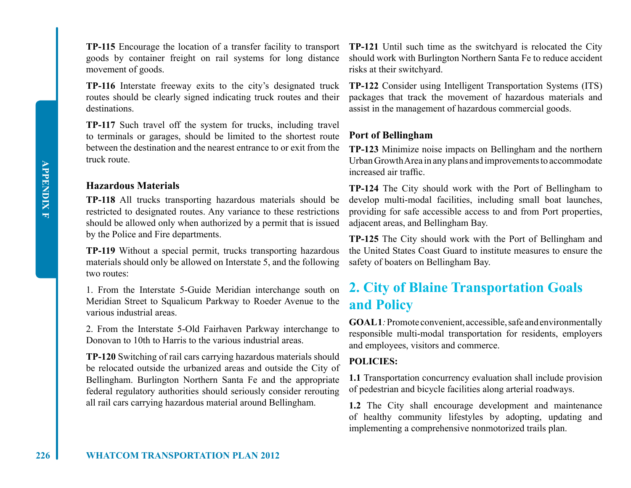movement of goods.

**TP-116** Interstate freeway exits to the city's designated truck routes should be clearly signed indicating truck routes and their destinations.

**TP-117** Such travel off the system for trucks, including travel to terminals or garages, should be limited to the shortest route between the destination and the nearest entrance to or exit from the truck route.

## **Hazardous Materials**

**TP-118** All trucks transporting hazardous materials should be restricted to designated routes. Any variance to these restrictions should be allowed only when authorized by a permit that is issued by the Police and Fire departments.

**TP-119** Without a special permit, trucks transporting hazardous materials should only be allowed on Interstate 5, and the following two routes:

1. From the Interstate 5-Guide Meridian interchange south on Meridian Street to Squalicum Parkway to Roeder Avenue to the various industrial areas.

2. From the Interstate 5-Old Fairhaven Parkway interchange to Donovan to 10th to Harris to the various industrial areas.

**TP-120** Switching of rail cars carrying hazardous materials should be relocated outside the urbanized areas and outside the City of Bellingham. Burlington Northern Santa Fe and the appropriate federal regulatory authorities should seriously consider rerouting all rail cars carrying hazardous material around Bellingham.

**TP-115** Encourage the location of a transfer facility to transport **TP-121** Until such time as the switchyard is relocated the City goods by container freight on rail systems for long distance should work with Burlington Northern Santa Fe to reduce accident risks at their switchyard.

> **TP-122** Consider using Intelligent Transportation Systems (ITS) packages that track the movement of hazardous materials and assist in the management of hazardous commercial goods.

## **Port of Bellingham**

**TP-123** Minimize noise impacts on Bellingham and the northern Urban Growth Area in any plans and improvements to accommodate increased air traffic.

**TP-124** The City should work with the Port of Bellingham to develop multi-modal facilities, including small boat launches, providing for safe accessible access to and from Port properties, adjacent areas, and Bellingham Bay.

**TP-125** The City should work with the Port of Bellingham and the United States Coast Guard to institute measures to ensure the safety of boaters on Bellingham Bay.

## **2. City of Blaine Transportation Goals and Policy**

**GOAL 1***:* Promote convenient, accessible, safe and environmentally responsible multi-modal transportation for residents, employers and employees, visitors and commerce.

## **POLICIES:**

**1.1** Transportation concurrency evaluation shall include provision of pedestrian and bicycle facilities along arterial roadways.

**1.2** The City shall encourage development and maintenance of healthy community lifestyles by adopting, updating and implementing a comprehensive nonmotorized trails plan.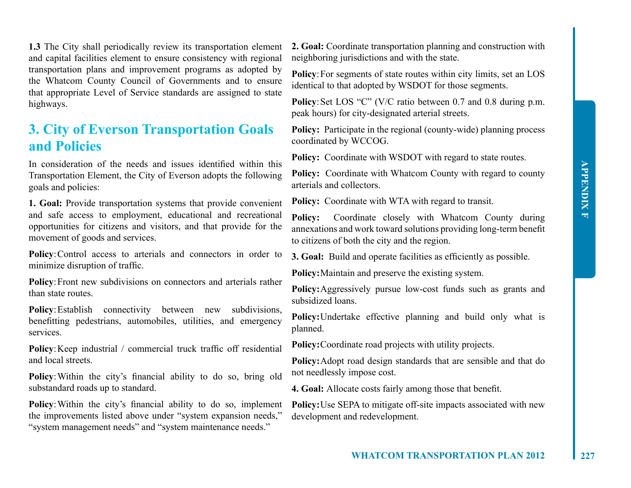**1.3** The City shall periodically review its transportation element and capital facilities element to ensure consistency with regional transportation plans and improvement programs as adopted by the Whatcom County Council of Governments and to ensure that appropriate Level of Service standards are assigned to state highways.

## **3. City of Everson Transportation Goals and Policies**

In consideration of the needs and issues identified within this Transportation Element, the City of Everson adopts the following goals and policies:

**1. Goal:** Provide transportation systems that provide convenient and safe access to employment, educational and recreational opportunities for citizens and visitors, and that provide for the movement of goods and services.

**Policy:** Control access to arterials and connectors in order to minimize disruption of traffic.

**Policy**: Front new subdivisions on connectors and arterials rather than state routes.

**Policy:** Establish connectivity between new subdivisions, benefitting pedestrians, automobiles, utilities, and emergency services.

**Policy**:Keep industrial / commercial truck traffic off residential and local streets.

**Policy**:Within the city's financial ability to do so, bring old substandard roads up to standard.

Policy: Within the city's financial ability to do so, implement the improvements listed above under "system expansion needs," "system management needs" and "system maintenance needs."

**2. Goal:** Coordinate transportation planning and construction with neighboring jurisdictions and with the state.

Policy: For segments of state routes within city limits, set an LOS identical to that adopted by WSDOT for those segments.

**Policy**: Set LOS "C" (V/C ratio between 0.7 and 0.8 during p.m. peak hours) for city-designated arterial streets.

**Policy:** Participate in the regional (county-wide) planning process coordinated by WCCOG.

**Policy:** Coordinate with WSDOT with regard to state routes.

**Policy:** Coordinate with Whatcom County with regard to county arterials and collectors.

**Policy:** Coordinate with WTA with regard to transit.

**Policy:** Coordinate closely with Whatcom County during annexations and work toward solutions providing long-term benefit to citizens of both the city and the region.

**3. Goal:** Build and operate facilities as efficiently as possible.

**Policy:**Maintain and preserve the existing system.

**Policy:**Aggressively pursue low-cost funds such as grants and subsidized loans.

**Policy:**Undertake effective planning and build only what is planned.

**Policy:**Coordinate road projects with utility projects.

**Policy:**Adopt road design standards that are sensible and that do not needlessly impose cost.

**4. Goal:** Allocate costs fairly among those that benefit.

**Policy:**Use SEPA to mitigate off-site impacts associated with new development and redevelopment.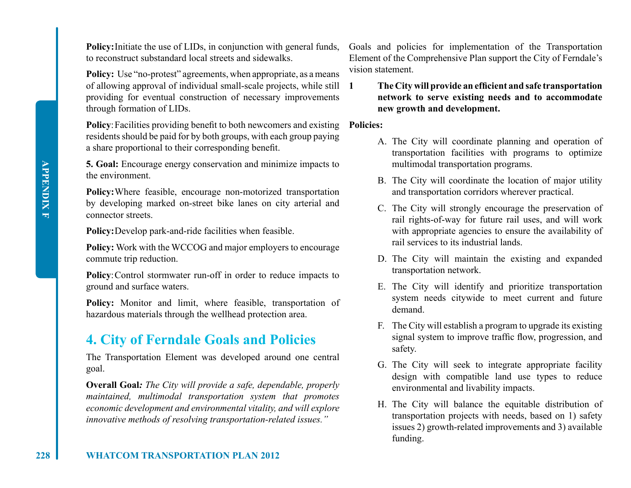**Policy:** Initiate the use of LIDs, in conjunction with general funds, to reconstruct substandard local streets and sidewalks.

**Policy:** Use "no-protest" agreements, when appropriate, as a means of allowing approval of individual small-scale projects, while still providing for eventual construction of necessary improvements through formation of LIDs.

Policy: Facilities providing benefit to both newcomers and existing Policies: residents should be paid for by both groups, with each group paying a share proportional to their corresponding benefit.

**5. Goal:** Encourage energy conservation and minimize impacts to the environment.

**Policy:**Where feasible, encourage non-motorized transportation by developing marked on-street bike lanes on city arterial and connector streets.

**Policy:**Develop park-and-ride facilities when feasible.

**Policy:** Work with the WCCOG and major employers to encourage commute trip reduction.

**Policy**:Control stormwater run-off in order to reduce impacts to ground and surface waters.

**Policy:** Monitor and limit, where feasible, transportation of hazardous materials through the wellhead protection area.

## **4. City of Ferndale Goals and Policies**

The Transportation Element was developed around one central goal.

**Overall Goal***: The City will provide a safe, dependable, properly maintained, multimodal transportation system that promotes economic development and environmental vitality, and will explore innovative methods of resolving transportation-related issues."*

Goals and policies for implementation of the Transportation Element of the Comprehensive Plan support the City of Ferndale's vision statement.

**1 The City will provide an efficient and safe transportation network to serve existing needs and to accommodate new growth and development.**

- A. The City will coordinate planning and operation of transportation facilities with programs to optimize multimodal transportation programs.
- B. The City will coordinate the location of major utility and transportation corridors wherever practical.
- C. The City will strongly encourage the preservation of rail rights-of-way for future rail uses, and will work with appropriate agencies to ensure the availability of rail services to its industrial lands.
- D. The City will maintain the existing and expanded transportation network.
- E. The City will identify and prioritize transportation system needs citywide to meet current and future demand.
- F. The City will establish a program to upgrade its existing signal system to improve traffic flow, progression, and safety.
- G. The City will seek to integrate appropriate facility design with compatible land use types to reduce environmental and livability impacts.
- H. The City will balance the equitable distribution of transportation projects with needs, based on 1) safety issues 2) growth-related improvements and 3) available funding.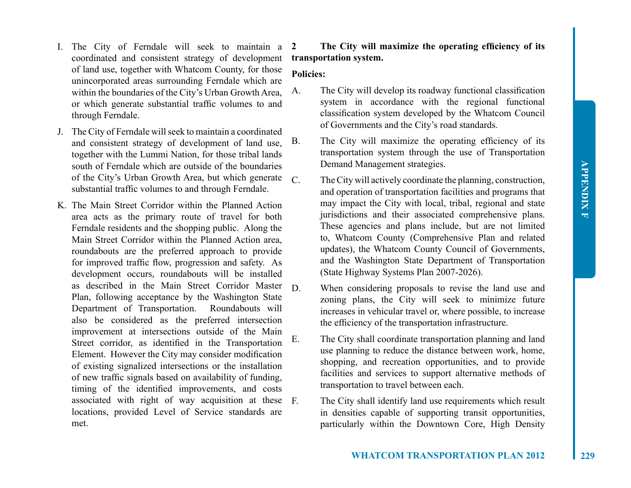- I. The City of Ferndale will seek to maintain a coordinated and consistent strategy of development of land use, together with Whatcom County, for those unincorporated areas surrounding Ferndale which are within the boundaries of the City's Urban Growth Area, or which generate substantial traffic volumes to and through Ferndale.
- J. The City of Ferndale will seek to maintain a coordinated and consistent strategy of development of land use, together with the Lummi Nation, for those tribal lands south of Ferndale which are outside of the boundaries of the City's Urban Growth Area, but which generate  $\overline{C}$ substantial traffic volumes to and through Ferndale.
- K. The Main Street Corridor within the Planned Action area acts as the primary route of travel for both Ferndale residents and the shopping public. Along the Main Street Corridor within the Planned Action area, roundabouts are the preferred approach to provide for improved traffic flow, progression and safety. As development occurs, roundabouts will be installed as described in the Main Street Corridor Master Plan, following acceptance by the Washington State Department of Transportation. Roundabouts will also be considered as the preferred intersection improvement at intersections outside of the Main Street corridor, as identified in the Transportation Element. However the City may consider modification of existing signalized intersections or the installation of new traffic signals based on availability of funding, timing of the identified improvements, and costs associated with right of way acquisition at these locations, provided Level of Service standards are met.

## **2 The City will maximize the operating efficiency of its transportation system.**

## **Policies:**

- A. The City will develop its roadway functional classification system in accordance with the regional functional classification system developed by the Whatcom Council of Governments and the City's road standards.
- B. The City will maximize the operating efficiency of its transportation system through the use of Transportation Demand Management strategies.
	- The City will actively coordinate the planning, construction, and operation of transportation facilities and programs that may impact the City with local, tribal, regional and state jurisdictions and their associated comprehensive plans. These agencies and plans include, but are not limited to, Whatcom County (Comprehensive Plan and related updates), the Whatcom County Council of Governments, and the Washington State Department of Transportation (State Highway Systems Plan 2007-2026).
	- When considering proposals to revise the land use and zoning plans, the City will seek to minimize future increases in vehicular travel or, where possible, to increase the efficiency of the transportation infrastructure.
- E. The City shall coordinate transportation planning and land use planning to reduce the distance between work, home, shopping, and recreation opportunities, and to provide facilities and services to support alternative methods of transportation to travel between each.
	- The City shall identify land use requirements which result in densities capable of supporting transit opportunities, particularly within the Downtown Core, High Density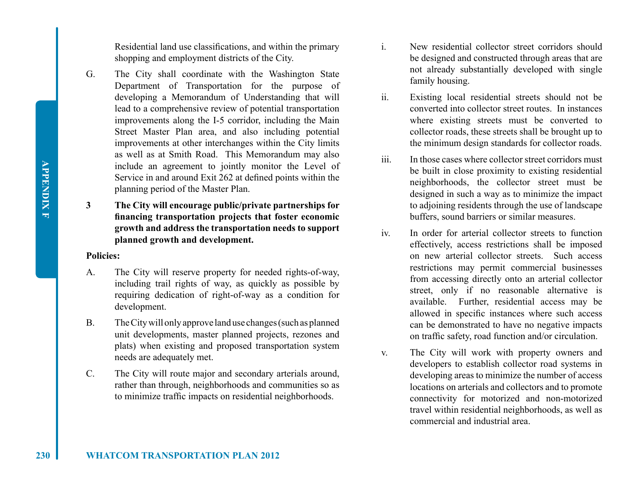Residential land use classifications, and within the primary shopping and employment districts of the City.

- G. The City shall coordinate with the Washington State Department of Transportation for the purpose of developing a Memorandum of Understanding that will lead to a comprehensive review of potential transportation improvements along the I-5 corridor, including the Main Street Master Plan area, and also including potential improvements at other interchanges within the City limits as well as at Smith Road. This Memorandum may also include an agreement to jointly monitor the Level of Service in and around Exit 262 at defined points within the planning period of the Master Plan.
- **3 The City will encourage public/private partnerships for financing transportation projects that foster economic growth and address the transportation needs to support planned growth and development.**

#### **Policies:**

- A. The City will reserve property for needed rights-of-way, including trail rights of way, as quickly as possible by requiring dedication of right-of-way as a condition for development.
- B. The City will only approve land use changes (such as planned unit developments, master planned projects, rezones and plats) when existing and proposed transportation system needs are adequately met.
- C. The City will route major and secondary arterials around, rather than through, neighborhoods and communities so as to minimize traffic impacts on residential neighborhoods.
- i. New residential collector street corridors should be designed and constructed through areas that are not already substantially developed with single family housing.
- ii. Existing local residential streets should not be converted into collector street routes. In instances where existing streets must be converted to collector roads, these streets shall be brought up to the minimum design standards for collector roads.
- iii. In those cases where collector street corridors must be built in close proximity to existing residential neighborhoods, the collector street must be designed in such a way as to minimize the impact to adjoining residents through the use of landscape buffers, sound barriers or similar measures.
- iv. In order for arterial collector streets to function effectively, access restrictions shall be imposed on new arterial collector streets. Such access restrictions may permit commercial businesses from accessing directly onto an arterial collector street, only if no reasonable alternative is available. Further, residential access may be allowed in specific instances where such access can be demonstrated to have no negative impacts on traffic safety, road function and/or circulation.
- v. The City will work with property owners and developers to establish collector road systems in developing areas to minimize the number of access locations on arterials and collectors and to promote connectivity for motorized and non-motorized travel within residential neighborhoods, as well as commercial and industrial area.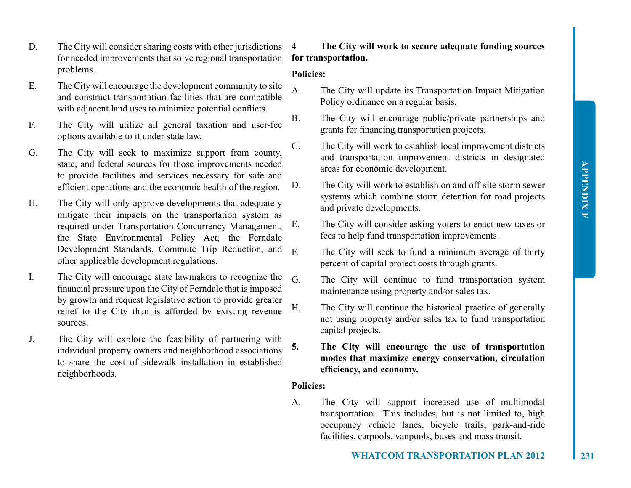- D. The City will consider sharing costs with other jurisdictions 4 for needed improvements that solve regional transportation problems.
- E. The City will encourage the development community to site and construct transportation facilities that are compatible with adjacent land uses to minimize potential conflicts.
- F. The City will utilize all general taxation and user-fee options available to it under state law.
- G. The City will seek to maximize support from county, state, and federal sources for those improvements needed to provide facilities and services necessary for safe and efficient operations and the economic health of the region.
- H. The City will only approve developments that adequately mitigate their impacts on the transportation system as required under Transportation Concurrency Management, the State Environmental Policy Act, the Ferndale Development Standards, Commute Trip Reduction, and other applicable development regulations.
- I. The City will encourage state lawmakers to recognize the financial pressure upon the City of Ferndale that is imposed by growth and request legislative action to provide greater relief to the City than is afforded by existing revenue sources.
- J. The City will explore the feasibility of partnering with individual property owners and neighborhood associations to share the cost of sidewalk installation in established neighborhoods.

## **4 The City will work to secure adequate funding sources for transportation.**

### **Policies:**

- A. The City will update its Transportation Impact Mitigation Policy ordinance on a regular basis.
- B. The City will encourage public/private partnerships and grants for financing transportation projects.
- C. The City will work to establish local improvement districts and transportation improvement districts in designated areas for economic development.
- D. The City will work to establish on and off-site storm sewer systems which combine storm detention for road projects and private developments.
- E. The City will consider asking voters to enact new taxes or fees to help fund transportation improvements.
- F. The City will seek to fund a minimum average of thirty percent of capital project costs through grants.
	- The City will continue to fund transportation system maintenance using property and/or sales tax.
- H. The City will continue the historical practice of generally not using property and/or sales tax to fund transportation capital projects.
- **5. The City will encourage the use of transportation modes that maximize energy conservation, circulation efficiency, and economy.**

### **Policies:**

A. The City will support increased use of multimodal transportation. This includes, but is not limited to, high occupancy vehicle lanes, bicycle trails, park-and-ride facilities, carpools, vanpools, buses and mass transit.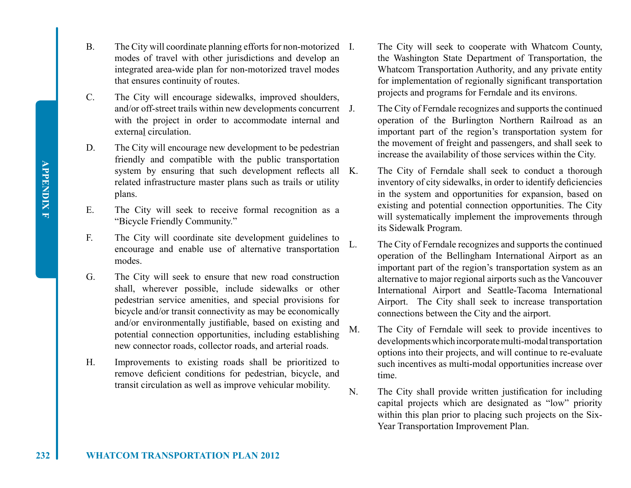**APPENDIX F APPENDIX F**

- B. The City will coordinate planning efforts for non-motorized I. modes of travel with other jurisdictions and develop an integrated area-wide plan for non-motorized travel modes that ensures continuity of routes.
- C. The City will encourage sidewalks, improved shoulders, and/or off-street trails within new developments concurrent J. with the project in order to accommodate internal and external circulation.
- D. The City will encourage new development to be pedestrian friendly and compatible with the public transportation system by ensuring that such development reflects all K. related infrastructure master plans such as trails or utility plans.
- E. The City will seek to receive formal recognition as a "Bicycle Friendly Community."
- F. The City will coordinate site development guidelines to encourage and enable use of alternative transportation modes.
- G. The City will seek to ensure that new road construction shall, wherever possible, include sidewalks or other pedestrian service amenities, and special provisions for bicycle and/or transit connectivity as may be economically and/or environmentally justifiable, based on existing and potential connection opportunities, including establishing new connector roads, collector roads, and arterial roads.
- H. Improvements to existing roads shall be prioritized to remove deficient conditions for pedestrian, bicycle, and transit circulation as well as improve vehicular mobility.
- The City will seek to cooperate with Whatcom County, the Washington State Department of Transportation, the Whatcom Transportation Authority, and any private entity for implementation of regionally significant transportation projects and programs for Ferndale and its environs.
- The City of Ferndale recognizes and supports the continued operation of the Burlington Northern Railroad as an important part of the region's transportation system for the movement of freight and passengers, and shall seek to increase the availability of those services within the City.
- The City of Ferndale shall seek to conduct a thorough inventory of city sidewalks, in order to identify deficiencies in the system and opportunities for expansion, based on existing and potential connection opportunities. The City will systematically implement the improvements through its Sidewalk Program.
- L. The City of Ferndale recognizes and supports the continued operation of the Bellingham International Airport as an important part of the region's transportation system as an alternative to major regional airports such as the Vancouver International Airport and Seattle-Tacoma International Airport. The City shall seek to increase transportation connections between the City and the airport.
- M. The City of Ferndale will seek to provide incentives to developments which incorporate multi-modal transportation options into their projects, and will continue to re-evaluate such incentives as multi-modal opportunities increase over time.
- N. The City shall provide written justification for including capital projects which are designated as "low" priority within this plan prior to placing such projects on the Six-Year Transportation Improvement Plan.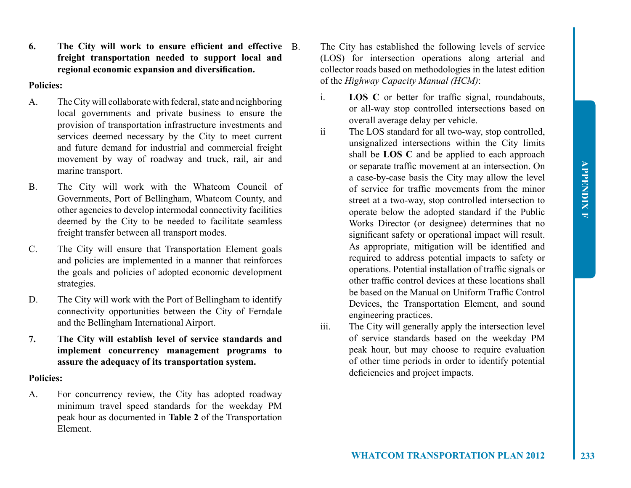**6. The City will work to ensure efficient and effective freight transportation needed to support local and regional economic expansion and diversification.**

#### **Policies:**

- A. The City will collaborate with federal, state and neighboring local governments and private business to ensure the provision of transportation infrastructure investments and services deemed necessary by the City to meet current and future demand for industrial and commercial freight movement by way of roadway and truck, rail, air and marine transport.
- B. The City will work with the Whatcom Council of Governments, Port of Bellingham, Whatcom County, and other agencies to develop intermodal connectivity facilities deemed by the City to be needed to facilitate seamless freight transfer between all transport modes.
- C. The City will ensure that Transportation Element goals and policies are implemented in a manner that reinforces the goals and policies of adopted economic development strategies.
- D. The City will work with the Port of Bellingham to identify connectivity opportunities between the City of Ferndale and the Bellingham International Airport.
- **7. The City will establish level of service standards and implement concurrency management programs to assure the adequacy of its transportation system.**

#### **Policies:**

A. For concurrency review, the City has adopted roadway minimum travel speed standards for the weekday PM peak hour as documented in **Table 2** of the Transportation Element.

- The City has established the following levels of service (LOS) for intersection operations along arterial and collector roads based on methodologies in the latest edition of the *Highway Capacity Manual (HCM)*:
- i. **LOS C** or better for traffic signal, roundabouts, or all-way stop controlled intersections based on overall average delay per vehicle.
- ii The LOS standard for all two-way, stop controlled, unsignalized intersections within the City limits shall be **LOS C** and be applied to each approach or separate traffic movement at an intersection. On a case-by-case basis the City may allow the level of service for traffic movements from the minor street at a two-way, stop controlled intersection to operate below the adopted standard if the Public Works Director (or designee) determines that no significant safety or operational impact will result. As appropriate, mitigation will be identified and required to address potential impacts to safety or operations. Potential installation of traffic signals or other traffic control devices at these locations shall be based on the Manual on Uniform Traffic Control Devices, the Transportation Element, and sound engineering practices.
- iii. The City will generally apply the intersection level of service standards based on the weekday PM peak hour, but may choose to require evaluation of other time periods in order to identify potential deficiencies and project impacts.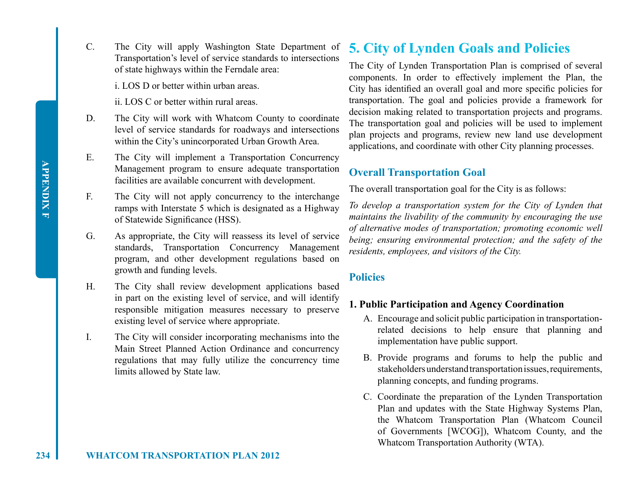C. The City will apply Washington State Department of Transportation's level of service standards to intersections of state highways within the Ferndale area:

i. LOS D or better within urban areas.

ii. LOS C or better within rural areas.

- D. The City will work with Whatcom County to coordinate level of service standards for roadways and intersections within the City's unincorporated Urban Growth Area.
- E. The City will implement a Transportation Concurrency Management program to ensure adequate transportation facilities are available concurrent with development.
- F. The City will not apply concurrency to the interchange ramps with Interstate 5 which is designated as a Highway of Statewide Significance (HSS).
- G. As appropriate, the City will reassess its level of service standards, Transportation Concurrency Management program, and other development regulations based on growth and funding levels.
- H. The City shall review development applications based in part on the existing level of service, and will identify responsible mitigation measures necessary to preserve existing level of service where appropriate.
- I. The City will consider incorporating mechanisms into the Main Street Planned Action Ordinance and concurrency regulations that may fully utilize the concurrency time limits allowed by State law.

## **5. City of Lynden Goals and Policies**

The City of Lynden Transportation Plan is comprised of several components. In order to effectively implement the Plan, the City has identified an overall goal and more specific policies for transportation. The goal and policies provide a framework for decision making related to transportation projects and programs. The transportation goal and policies will be used to implement plan projects and programs, review new land use development applications, and coordinate with other City planning processes.

## **Overall Transportation Goal**

The overall transportation goal for the City is as follows:

*To develop a transportation system for the City of Lynden that maintains the livability of the community by encouraging the use of alternative modes of transportation; promoting economic well being; ensuring environmental protection; and the safety of the residents, employees, and visitors of the City.*

## **Policies**

## **1. Public Participation and Agency Coordination**

- A. Encourage and solicit public participation in transportationrelated decisions to help ensure that planning and implementation have public support.
- B. Provide programs and forums to help the public and stakeholders understand transportation issues, requirements, planning concepts, and funding programs.
- C. Coordinate the preparation of the Lynden Transportation Plan and updates with the State Highway Systems Plan, the Whatcom Transportation Plan (Whatcom Council of Governments [WCOG]), Whatcom County, and the Whatcom Transportation Authority (WTA).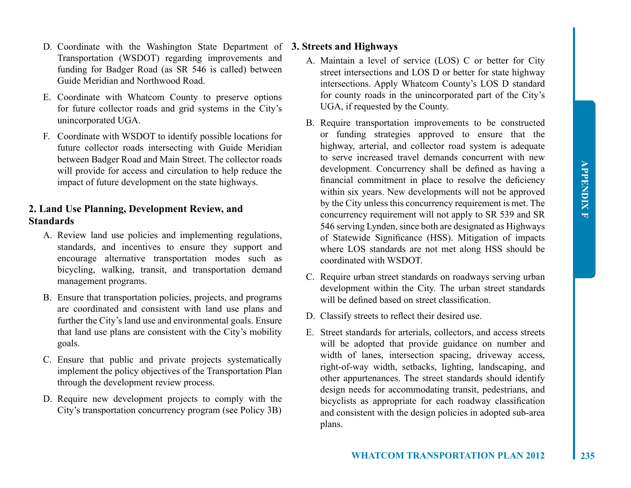- D. Coordinate with the Washington State Department of **3. Streets and Highways** Transportation (WSDOT) regarding improvements and funding for Badger Road (as SR 546 is called) between Guide Meridian and Northwood Road.
- E. Coordinate with Whatcom County to preserve options for future collector roads and grid systems in the City's unincorporated UGA.
- F. Coordinate with WSDOT to identify possible locations for future collector roads intersecting with Guide Meridian between Badger Road and Main Street. The collector roads will provide for access and circulation to help reduce the impact of future development on the state highways.

## **2. Land Use Planning, Development Review, and Standards**

- A. Review land use policies and implementing regulations, standards, and incentives to ensure they support and encourage alternative transportation modes such as bicycling, walking, transit, and transportation demand management programs.
- B. Ensure that transportation policies, projects, and programs are coordinated and consistent with land use plans and further the City's land use and environmental goals. Ensure that land use plans are consistent with the City's mobility goals.
- C. Ensure that public and private projects systematically implement the policy objectives of the Transportation Plan through the development review process.
- D. Require new development projects to comply with the City's transportation concurrency program (see Policy 3B)

- A. Maintain a level of service (LOS) C or better for City street intersections and LOS D or better for state highway intersections. Apply Whatcom County's LOS D standard for county roads in the unincorporated part of the City's UGA, if requested by the County.
- B. Require transportation improvements to be constructed or funding strategies approved to ensure that the highway, arterial, and collector road system is adequate to serve increased travel demands concurrent with new development. Concurrency shall be defined as having a financial commitment in place to resolve the deficiency within six years. New developments will not be approved by the City unless this concurrency requirement is met. The concurrency requirement will not apply to SR 539 and SR 546 serving Lynden, since both are designated as Highways of Statewide Significance (HSS). Mitigation of impacts where LOS standards are not met along HSS should be coordinated with WSDOT.
- C. Require urban street standards on roadways serving urban development within the City. The urban street standards will be defined based on street classification.
- D. Classify streets to reflect their desired use.
- E. Street standards for arterials, collectors, and access streets will be adopted that provide guidance on number and width of lanes, intersection spacing, driveway access, right-of-way width, setbacks, lighting, landscaping, and other appurtenances. The street standards should identify design needs for accommodating transit, pedestrians, and bicyclists as appropriate for each roadway classification and consistent with the design policies in adopted sub-area plans.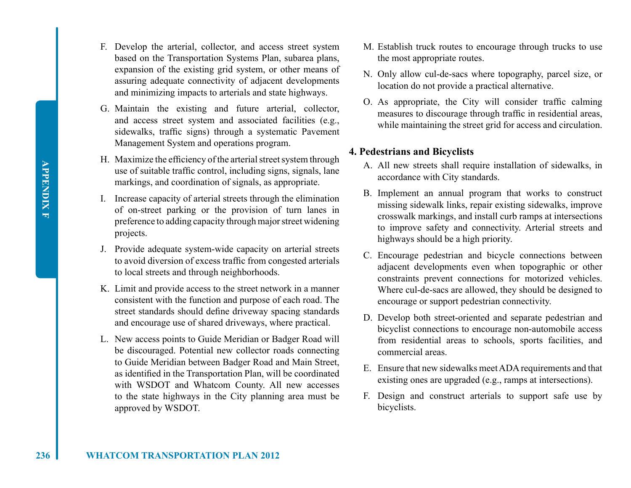**APPENDIX F APPENDIX F**

- F. Develop the arterial, collector, and access street system based on the Transportation Systems Plan, subarea plans, expansion of the existing grid system, or other means of assuring adequate connectivity of adjacent developments and minimizing impacts to arterials and state highways.
- G. Maintain the existing and future arterial, collector, and access street system and associated facilities (e.g., sidewalks, traffic signs) through a systematic Pavement Management System and operations program.
- H. Maximize the efficiency of the arterial street system through use of suitable traffic control, including signs, signals, lane markings, and coordination of signals, as appropriate.
- I. Increase capacity of arterial streets through the elimination of on-street parking or the provision of turn lanes in preference to adding capacity through major street widening projects.
- J. Provide adequate system-wide capacity on arterial streets to avoid diversion of excess traffic from congested arterials to local streets and through neighborhoods.
- K. Limit and provide access to the street network in a manner consistent with the function and purpose of each road. The street standards should define driveway spacing standards and encourage use of shared driveways, where practical.
- L. New access points to Guide Meridian or Badger Road will be discouraged. Potential new collector roads connecting to Guide Meridian between Badger Road and Main Street, as identified in the Transportation Plan, will be coordinated with WSDOT and Whatcom County. All new accesses to the state highways in the City planning area must be approved by WSDOT.
- M. Establish truck routes to encourage through trucks to use the most appropriate routes.
- N. Only allow cul-de-sacs where topography, parcel size, or location do not provide a practical alternative.
- O. As appropriate, the City will consider traffic calming measures to discourage through traffic in residential areas, while maintaining the street grid for access and circulation.

## **4. Pedestrians and Bicyclists**

- A. All new streets shall require installation of sidewalks, in accordance with City standards.
- B. Implement an annual program that works to construct missing sidewalk links, repair existing sidewalks, improve crosswalk markings, and install curb ramps at intersections to improve safety and connectivity. Arterial streets and highways should be a high priority.
- C. Encourage pedestrian and bicycle connections between adjacent developments even when topographic or other constraints prevent connections for motorized vehicles. Where cul-de-sacs are allowed, they should be designed to encourage or support pedestrian connectivity.
- D. Develop both street-oriented and separate pedestrian and bicyclist connections to encourage non-automobile access from residential areas to schools, sports facilities, and commercial areas.
- E. Ensure that new sidewalks meet ADA requirements and that existing ones are upgraded (e.g., ramps at intersections).
- F. Design and construct arterials to support safe use by bicyclists.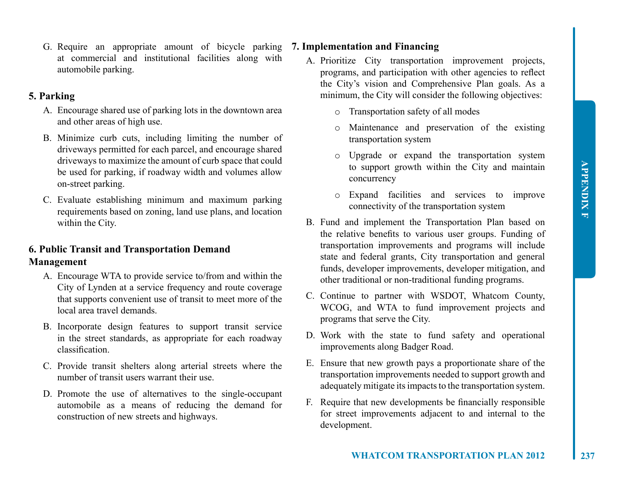G. Require an appropriate amount of bicycle parking **7. Implementation and Financing** at commercial and institutional facilities along with automobile parking.

## **5. Parking**

- A. Encourage shared use of parking lots in the downtown area and other areas of high use.
- B. Minimize curb cuts, including limiting the number of driveways permitted for each parcel, and encourage shared driveways to maximize the amount of curb space that could be used for parking, if roadway width and volumes allow on-street parking.
- C. Evaluate establishing minimum and maximum parking requirements based on zoning, land use plans, and location within the City.

## **6. Public Transit and Transportation Demand Management**

- A. Encourage WTA to provide service to/from and within the City of Lynden at a service frequency and route coverage that supports convenient use of transit to meet more of the local area travel demands.
- B. Incorporate design features to support transit service in the street standards, as appropriate for each roadway classification.
- C. Provide transit shelters along arterial streets where the number of transit users warrant their use.
- D. Promote the use of alternatives to the single-occupant automobile as a means of reducing the demand for construction of new streets and highways.

- A. Prioritize City transportation improvement projects, programs, and participation with other agencies to reflect the City's vision and Comprehensive Plan goals. As a minimum, the City will consider the following objectives:
	- o Transportation safety of all modes
	- o Maintenance and preservation of the existing transportation system
	- o Upgrade or expand the transportation system to support growth within the City and maintain concurrency
	- o Expand facilities and services to improve connectivity of the transportation system
- B. Fund and implement the Transportation Plan based on the relative benefits to various user groups. Funding of transportation improvements and programs will include state and federal grants, City transportation and general funds, developer improvements, developer mitigation, and other traditional or non-traditional funding programs.
- C. Continue to partner with WSDOT, Whatcom County, WCOG, and WTA to fund improvement projects and programs that serve the City.
- D. Work with the state to fund safety and operational improvements along Badger Road.
- E. Ensure that new growth pays a proportionate share of the transportation improvements needed to support growth and adequately mitigate its impacts to the transportation system.
- F. Require that new developments be financially responsible for street improvements adjacent to and internal to the development.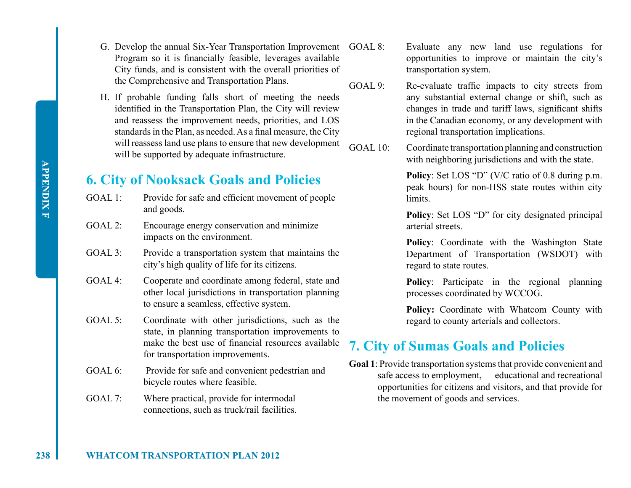**APPENDIX F APPENDIX F**

- G. Develop the annual Six-Year Transportation Improvement GOAL 8: Program so it is financially feasible, leverages available City funds, and is consistent with the overall priorities of the Comprehensive and Transportation Plans.
- H. If probable funding falls short of meeting the needs identified in the Transportation Plan, the City will review and reassess the improvement needs, priorities, and LOS standards in the Plan, as needed. As a final measure, the City will reassess land use plans to ensure that new development will be supported by adequate infrastructure.

## **6. City of Nooksack Goals and Policies**

- GOAL 1: Provide for safe and efficient movement of people and goods.
- GOAL 2: Encourage energy conservation and minimize impacts on the environment.
- GOAL 3: Provide a transportation system that maintains the city's high quality of life for its citizens.
- GOAL 4: Cooperate and coordinate among federal, state and other local jurisdictions in transportation planning to ensure a seamless, effective system.
- GOAL 5: Coordinate with other jurisdictions, such as the state, in planning transportation improvements to make the best use of financial resources available for transportation improvements.
- GOAL 6: Provide for safe and convenient pedestrian and bicycle routes where feasible.
- GOAL 7: Where practical, provide for intermodal connections, such as truck/rail facilities.
- Evaluate any new land use regulations for opportunities to improve or maintain the city's transportation system.
- GOAL 9: Re-evaluate traffic impacts to city streets from any substantial external change or shift, such as changes in trade and tariff laws, significant shifts in the Canadian economy, or any development with regional transportation implications.
- GOAL 10: Coordinate transportation planning and construction with neighboring jurisdictions and with the state.

**Policy**: Set LOS "D" (V/C ratio of 0.8 during p.m. peak hours) for non-HSS state routes within city limits.

**Policy**: Set LOS "D" for city designated principal arterial streets.

**Policy**: Coordinate with the Washington State Department of Transportation (WSDOT) with regard to state routes.

**Policy**: Participate in the regional planning processes coordinated by WCCOG.

**Policy:** Coordinate with Whatcom County with regard to county arterials and collectors.

## **7. City of Sumas Goals and Policies**

**Goal 1**: Provide transportation systems that provide convenient and safe access to employment, educational and recreational opportunities for citizens and visitors, and that provide for the movement of goods and services.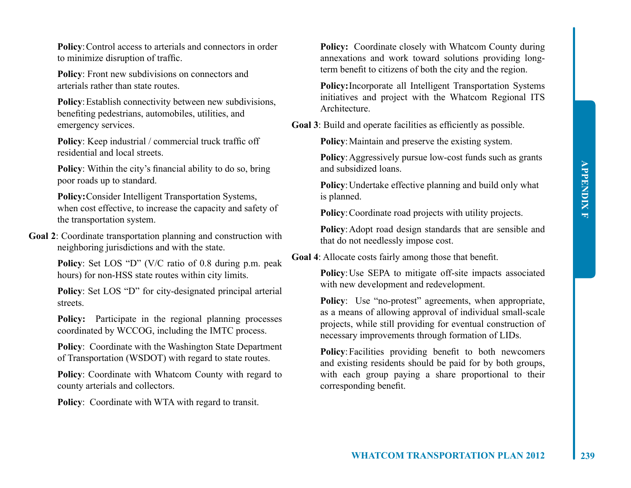**Policy:** Control access to arterials and connectors in order to minimize disruption of traffic.

**Policy**: Front new subdivisions on connectors and arterials rather than state routes.

**Policy**: Establish connectivity between new subdivisions, benefiting pedestrians, automobiles, utilities, and emergency services.

**Policy**: Keep industrial / commercial truck traffic off residential and local streets.

**Policy**: Within the city's financial ability to do so, bring poor roads up to standard.

**Policy:**Consider Intelligent Transportation Systems, when cost effective, to increase the capacity and safety of the transportation system.

**Goal 2**: Coordinate transportation planning and construction with neighboring jurisdictions and with the state.

> **Policy**: Set LOS "D" (V/C ratio of 0.8 during p.m. peak hours) for non-HSS state routes within city limits.

> **Policy**: Set LOS "D" for city-designated principal arterial streets.

> **Policy:** Participate in the regional planning processes coordinated by WCCOG, including the IMTC process.

> **Policy**: Coordinate with the Washington State Department of Transportation (WSDOT) with regard to state routes.

> **Policy**: Coordinate with Whatcom County with regard to county arterials and collectors.

**Policy**: Coordinate with WTA with regard to transit.

Policy: Coordinate closely with Whatcom County during annexations and work toward solutions providing longterm benefit to citizens of both the city and the region.

**Policy:**Incorporate all Intelligent Transportation Systems initiatives and project with the Whatcom Regional ITS **Architecture** 

**Goal 3**: Build and operate facilities as efficiently as possible.

**Policy:** Maintain and preserve the existing system.

**Policy:** Aggressively pursue low-cost funds such as grants and subsidized loans.

**Policy**: Undertake effective planning and build only what is planned.

**Policy**:Coordinate road projects with utility projects.

**Policy**:Adopt road design standards that are sensible and that do not needlessly impose cost.

**Goal 4**: Allocate costs fairly among those that benefit.

**Policy**: Use SEPA to mitigate off-site impacts associated with new development and redevelopment.

**Policy**: Use "no-protest" agreements, when appropriate, as a means of allowing approval of individual small-scale projects, while still providing for eventual construction of necessary improvements through formation of LIDs.

**Policy**:Facilities providing benefit to both newcomers and existing residents should be paid for by both groups, with each group paying a share proportional to their corresponding benefit.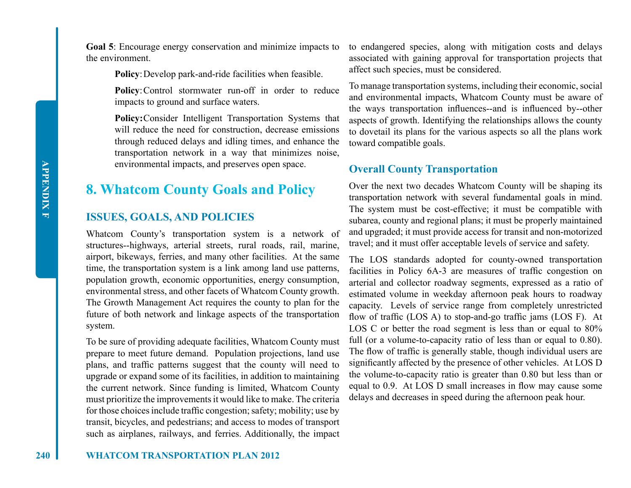**Goal 5**: Encourage energy conservation and minimize impacts to the environment.

**Policy:** Develop park-and-ride facilities when feasible.

Policy: Control stormwater run-off in order to reduce impacts to ground and surface waters.

**Policy:**Consider Intelligent Transportation Systems that will reduce the need for construction, decrease emissions through reduced delays and idling times, and enhance the transportation network in a way that minimizes noise, environmental impacts, and preserves open space.

## **8. Whatcom County Goals and Policy**

## **ISSUES, GOALS, AND POLICIES**

Whatcom County's transportation system is a network of structures--highways, arterial streets, rural roads, rail, marine, airport, bikeways, ferries, and many other facilities. At the same time, the transportation system is a link among land use patterns, population growth, economic opportunities, energy consumption, environmental stress, and other facets of Whatcom County growth. The Growth Management Act requires the county to plan for the future of both network and linkage aspects of the transportation system.

To be sure of providing adequate facilities, Whatcom County must prepare to meet future demand. Population projections, land use plans, and traffic patterns suggest that the county will need to upgrade or expand some of its facilities, in addition to maintaining the current network. Since funding is limited, Whatcom County must prioritize the improvements it would like to make. The criteria for those choices include traffic congestion; safety; mobility; use by transit, bicycles, and pedestrians; and access to modes of transport such as airplanes, railways, and ferries. Additionally, the impact

to endangered species, along with mitigation costs and delays associated with gaining approval for transportation projects that affect such species, must be considered.

To manage transportation systems, including their economic, social and environmental impacts, Whatcom County must be aware of the ways transportation influences--and is influenced by--other aspects of growth. Identifying the relationships allows the county to dovetail its plans for the various aspects so all the plans work toward compatible goals.

## **Overall County Transportation**

Over the next two decades Whatcom County will be shaping its transportation network with several fundamental goals in mind. The system must be cost-effective; it must be compatible with subarea, county and regional plans; it must be properly maintained and upgraded; it must provide access for transit and non-motorized travel; and it must offer acceptable levels of service and safety.

The LOS standards adopted for county-owned transportation facilities in Policy 6A-3 are measures of traffic congestion on arterial and collector roadway segments, expressed as a ratio of estimated volume in weekday afternoon peak hours to roadway capacity. Levels of service range from completely unrestricted flow of traffic (LOS A) to stop-and-go traffic jams (LOS F). At LOS C or better the road segment is less than or equal to  $80\%$ full (or a volume-to-capacity ratio of less than or equal to 0.80). The flow of traffic is generally stable, though individual users are significantly affected by the presence of other vehicles. At LOS D the volume-to-capacity ratio is greater than 0.80 but less than or equal to 0.9. At LOS D small increases in flow may cause some delays and decreases in speed during the afternoon peak hour.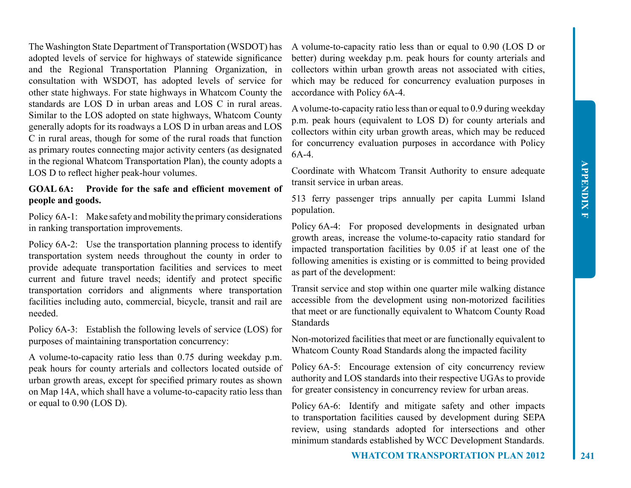The Washington State Department of Transportation (WSDOT) has adopted levels of service for highways of statewide significance and the Regional Transportation Planning Organization, in consultation with WSDOT, has adopted levels of service for other state highways. For state highways in Whatcom County the standards are LOS D in urban areas and LOS C in rural areas. Similar to the LOS adopted on state highways, Whatcom County generally adopts for its roadways a LOS D in urban areas and LOS C in rural areas, though for some of the rural roads that function as primary routes connecting major activity centers (as designated in the regional Whatcom Transportation Plan), the county adopts a LOS D to reflect higher peak-hour volumes.

## **GOAL 6A: Provide for the safe and efficient movement of people and goods.**

Policy 6A-1: Make safety and mobility the primary considerations in ranking transportation improvements.

Policy 6A-2: Use the transportation planning process to identify transportation system needs throughout the county in order to provide adequate transportation facilities and services to meet current and future travel needs; identify and protect specific transportation corridors and alignments where transportation facilities including auto, commercial, bicycle, transit and rail are needed.

Policy 6A-3: Establish the following levels of service (LOS) for purposes of maintaining transportation concurrency:

A volume-to-capacity ratio less than 0.75 during weekday p.m. peak hours for county arterials and collectors located outside of urban growth areas, except for specified primary routes as shown on Map 14A, which shall have a volume-to-capacity ratio less than or equal to 0.90 (LOS D).

A volume-to-capacity ratio less than or equal to 0.90 (LOS D or better) during weekday p.m. peak hours for county arterials and collectors within urban growth areas not associated with cities, which may be reduced for concurrency evaluation purposes in accordance with Policy 6A-4.

A volume-to-capacity ratio less than or equal to 0.9 during weekday p.m. peak hours (equivalent to LOS D) for county arterials and collectors within city urban growth areas, which may be reduced for concurrency evaluation purposes in accordance with Policy 6A-4.

Coordinate with Whatcom Transit Authority to ensure adequate transit service in urban areas.

513 ferry passenger trips annually per capita Lummi Island population.

Policy 6A-4: For proposed developments in designated urban growth areas, increase the volume-to-capacity ratio standard for impacted transportation facilities by 0.05 if at least one of the following amenities is existing or is committed to being provided as part of the development:

Transit service and stop within one quarter mile walking distance accessible from the development using non-motorized facilities that meet or are functionally equivalent to Whatcom County Road Standards

Non-motorized facilities that meet or are functionally equivalent to Whatcom County Road Standards along the impacted facility

Policy 6A-5: Encourage extension of city concurrency review authority and LOS standards into their respective UGAs to provide for greater consistency in concurrency review for urban areas.

Policy 6A-6: Identify and mitigate safety and other impacts to transportation facilities caused by development during SEPA review, using standards adopted for intersections and other minimum standards established by WCC Development Standards.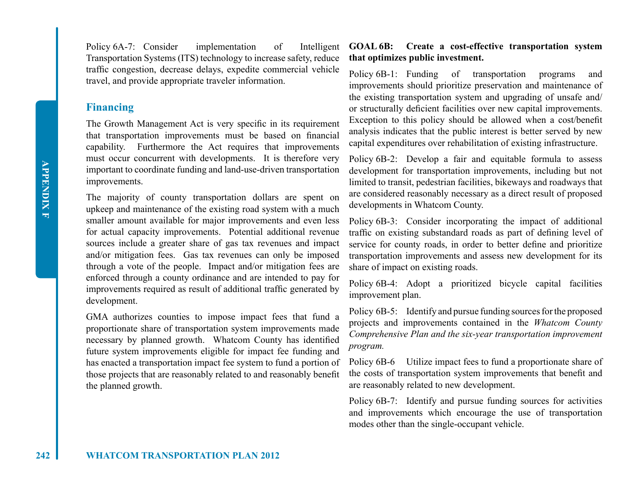Policy 6A-7: Consider implementation of Intelligent Transportation Systems (ITS) technology to increase safety, reduce traffic congestion, decrease delays, expedite commercial vehicle travel, and provide appropriate traveler information.

## **Financing**

The Growth Management Act is very specific in its requirement that transportation improvements must be based on financial capability. Furthermore the Act requires that improvements must occur concurrent with developments. It is therefore very important to coordinate funding and land-use-driven transportation improvements.

The majority of county transportation dollars are spent on upkeep and maintenance of the existing road system with a much smaller amount available for major improvements and even less for actual capacity improvements. Potential additional revenue sources include a greater share of gas tax revenues and impact and/or mitigation fees. Gas tax revenues can only be imposed through a vote of the people. Impact and/or mitigation fees are enforced through a county ordinance and are intended to pay for improvements required as result of additional traffic generated by development.

GMA authorizes counties to impose impact fees that fund a proportionate share of transportation system improvements made necessary by planned growth. Whatcom County has identified future system improvements eligible for impact fee funding and has enacted a transportation impact fee system to fund a portion of those projects that are reasonably related to and reasonably benefit the planned growth.

## **GOAL 6B: Create a cost-effective transportation system that optimizes public investment.**

Policy 6B-1: Funding of transportation programs and improvements should prioritize preservation and maintenance of the existing transportation system and upgrading of unsafe and/ or structurally deficient facilities over new capital improvements. Exception to this policy should be allowed when a cost/benefit analysis indicates that the public interest is better served by new capital expenditures over rehabilitation of existing infrastructure.

Policy 6B-2: Develop a fair and equitable formula to assess development for transportation improvements, including but not limited to transit, pedestrian facilities, bikeways and roadways that are considered reasonably necessary as a direct result of proposed developments in Whatcom County.

Policy 6B-3: Consider incorporating the impact of additional traffic on existing substandard roads as part of defining level of service for county roads, in order to better define and prioritize transportation improvements and assess new development for its share of impact on existing roads.

Policy 6B-4: Adopt a prioritized bicycle capital facilities improvement plan.

Policy 6B-5: Identify and pursue funding sources for the proposed projects and improvements contained in the *Whatcom County Comprehensive Plan and the six-year transportation improvement program.*

Policy 6B-6 Utilize impact fees to fund a proportionate share of the costs of transportation system improvements that benefit and are reasonably related to new development.

Policy 6B-7: Identify and pursue funding sources for activities and improvements which encourage the use of transportation modes other than the single-occupant vehicle.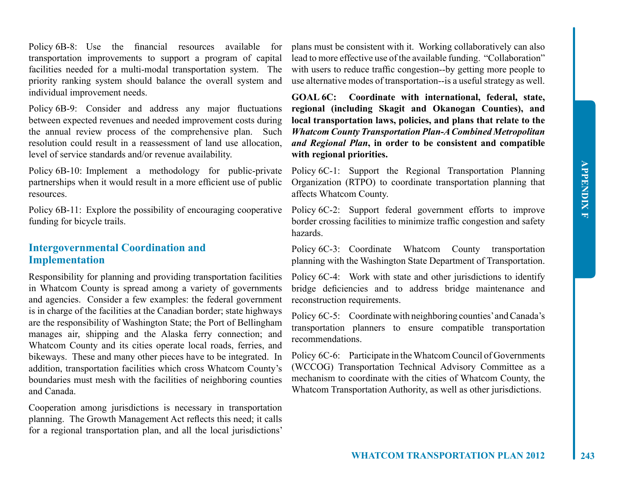Policy 6B-8: Use the financial resources available for transportation improvements to support a program of capital facilities needed for a multi-modal transportation system. The priority ranking system should balance the overall system and individual improvement needs.

Policy 6B-9: Consider and address any major fluctuations between expected revenues and needed improvement costs during the annual review process of the comprehensive plan. Such resolution could result in a reassessment of land use allocation, level of service standards and/or revenue availability.

Policy 6B-10: Implement a methodology for public-private partnerships when it would result in a more efficient use of public resources.

Policy 6B-11: Explore the possibility of encouraging cooperative funding for bicycle trails.

## **Intergovernmental Coordination and Implementation**

Responsibility for planning and providing transportation facilities in Whatcom County is spread among a variety of governments and agencies. Consider a few examples: the federal government is in charge of the facilities at the Canadian border; state highways are the responsibility of Washington State; the Port of Bellingham manages air, shipping and the Alaska ferry connection; and Whatcom County and its cities operate local roads, ferries, and bikeways. These and many other pieces have to be integrated. In addition, transportation facilities which cross Whatcom County's boundaries must mesh with the facilities of neighboring counties and Canada.

Cooperation among jurisdictions is necessary in transportation planning. The Growth Management Act reflects this need; it calls for a regional transportation plan, and all the local jurisdictions'

plans must be consistent with it. Working collaboratively can also lead to more effective use of the available funding. "Collaboration" with users to reduce traffic congestion--by getting more people to use alternative modes of transportation--is a useful strategy as well.

**GOAL 6C: Coordinate with international, federal, state, regional (including Skagit and Okanogan Counties), and local transportation laws, policies, and plans that relate to the**  *Whatcom County Transportation Plan-A Combined Metropolitan and Regional Plan***, in order to be consistent and compatible with regional priorities.**

Policy 6C-1: Support the Regional Transportation Planning Organization (RTPO) to coordinate transportation planning that affects Whatcom County.

Policy 6C-2: Support federal government efforts to improve border crossing facilities to minimize traffic congestion and safety hazards.

Policy 6C-3: Coordinate Whatcom County transportation planning with the Washington State Department of Transportation.

Policy 6C-4: Work with state and other jurisdictions to identify bridge deficiencies and to address bridge maintenance and reconstruction requirements.

Policy 6C-5: Coordinate with neighboring counties' and Canada's transportation planners to ensure compatible transportation recommendations.

Policy 6C-6: Participate in the Whatcom Council of Governments (WCCOG) Transportation Technical Advisory Committee as a mechanism to coordinate with the cities of Whatcom County, the Whatcom Transportation Authority, as well as other jurisdictions.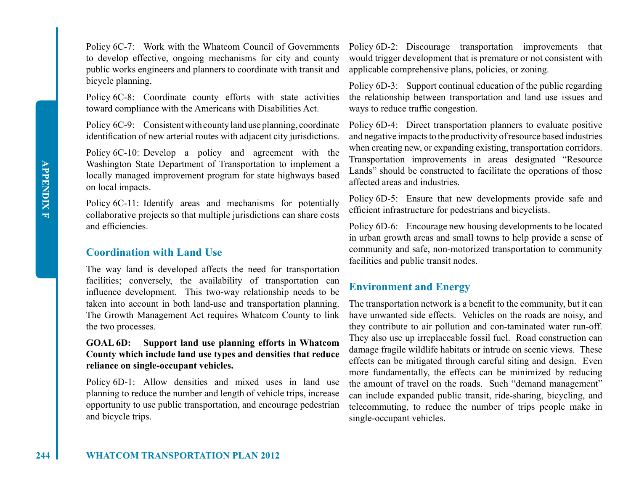Policy 6C-7: Work with the Whatcom Council of Governments to develop effective, ongoing mechanisms for city and county public works engineers and planners to coordinate with transit and bicycle planning.

Policy 6C-8: Coordinate county efforts with state activities toward compliance with the Americans with Disabilities Act.

Policy 6C-9: Consistent with county land use planning, coordinate identification of new arterial routes with adjacent city jurisdictions.

Policy 6C-10: Develop a policy and agreement with the Washington State Department of Transportation to implement a locally managed improvement program for state highways based on local impacts.

Policy 6C-11: Identify areas and mechanisms for potentially collaborative projects so that multiple jurisdictions can share costs and efficiencies.

## **Coordination with Land Use**

The way land is developed affects the need for transportation facilities; conversely, the availability of transportation can influence development. This two-way relationship needs to be taken into account in both land-use and transportation planning. The Growth Management Act requires Whatcom County to link the two processes.

## **GOAL 6D: Support land use planning efforts in Whatcom County which include land use types and densities that reduce reliance on single-occupant vehicles.**

Policy 6D-1: Allow densities and mixed uses in land use planning to reduce the number and length of vehicle trips, increase opportunity to use public transportation, and encourage pedestrian and bicycle trips.

Policy 6D-2: Discourage transportation improvements that would trigger development that is premature or not consistent with applicable comprehensive plans, policies, or zoning.

Policy 6D-3: Support continual education of the public regarding the relationship between transportation and land use issues and ways to reduce traffic congestion.

Policy 6D-4: Direct transportation planners to evaluate positive and negative impacts to the productivity of resource based industries when creating new, or expanding existing, transportation corridors. Transportation improvements in areas designated "Resource Lands" should be constructed to facilitate the operations of those affected areas and industries.

Policy 6D-5: Ensure that new developments provide safe and efficient infrastructure for pedestrians and bicyclists.

Policy 6D-6: Encourage new housing developments to be located in urban growth areas and small towns to help provide a sense of community and safe, non-motorized transportation to community facilities and public transit nodes.

## **Environment and Energy**

The transportation network is a benefit to the community, but it can have unwanted side effects. Vehicles on the roads are noisy, and they contribute to air pollution and con-taminated water run-off. They also use up irreplaceable fossil fuel. Road construction can damage fragile wildlife habitats or intrude on scenic views. These effects can be mitigated through careful siting and design. Even more fundamentally, the effects can be minimized by reducing the amount of travel on the roads. Such "demand management" can include expanded public transit, ride-sharing, bicycling, and telecommuting, to reduce the number of trips people make in single-occupant vehicles.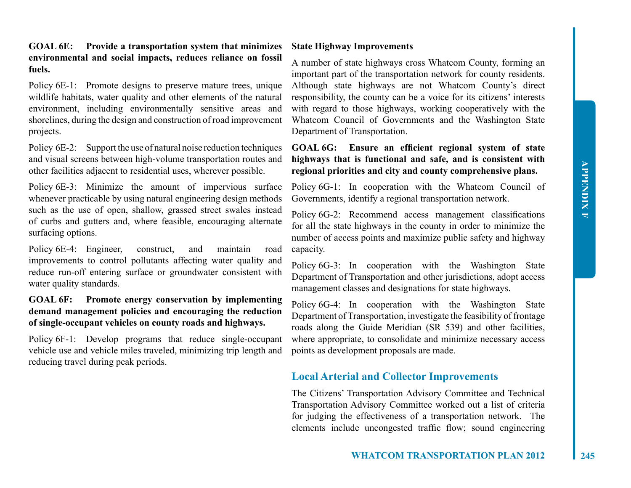## **GOAL 6E: Provide a transportation system that minimizes environmental and social impacts, reduces reliance on fossil fuels.**

Policy 6E-1: Promote designs to preserve mature trees, unique wildlife habitats, water quality and other elements of the natural environment, including environmentally sensitive areas and shorelines, during the design and construction of road improvement projects.

Policy 6E-2: Support the use of natural noise reduction techniques and visual screens between high-volume transportation routes and other facilities adjacent to residential uses, wherever possible.

Policy 6E-3: Minimize the amount of impervious surface whenever practicable by using natural engineering design methods such as the use of open, shallow, grassed street swales instead of curbs and gutters and, where feasible, encouraging alternate surfacing options.

Policy 6E-4: Engineer, construct, and maintain road improvements to control pollutants affecting water quality and reduce run-off entering surface or groundwater consistent with water quality standards.

## **GOAL 6F: Promote energy conservation by implementing demand management policies and encouraging the reduction of single-occupant vehicles on county roads and highways.**

Policy 6F-1: Develop programs that reduce single-occupant vehicle use and vehicle miles traveled, minimizing trip length and reducing travel during peak periods.

## **State Highway Improvements**

A number of state highways cross Whatcom County, forming an important part of the transportation network for county residents. Although state highways are not Whatcom County's direct responsibility, the county can be a voice for its citizens' interests with regard to those highways, working cooperatively with the Whatcom Council of Governments and the Washington State Department of Transportation.

## **GOAL 6G: Ensure an efficient regional system of state highways that is functional and safe, and is consistent with regional priorities and city and county comprehensive plans.**

Policy 6G-1: In cooperation with the Whatcom Council of Governments, identify a regional transportation network.

Policy 6G-2: Recommend access management classifications for all the state highways in the county in order to minimize the number of access points and maximize public safety and highway capacity.

Policy 6G-3: In cooperation with the Washington State Department of Transportation and other jurisdictions, adopt access management classes and designations for state highways.

Policy 6G-4: In cooperation with the Washington State Department of Transportation, investigate the feasibility of frontage roads along the Guide Meridian (SR 539) and other facilities, where appropriate, to consolidate and minimize necessary access points as development proposals are made.

## **Local Arterial and Collector Improvements**

The Citizens' Transportation Advisory Committee and Technical Transportation Advisory Committee worked out a list of criteria for judging the effectiveness of a transportation network. The elements include uncongested traffic flow; sound engineering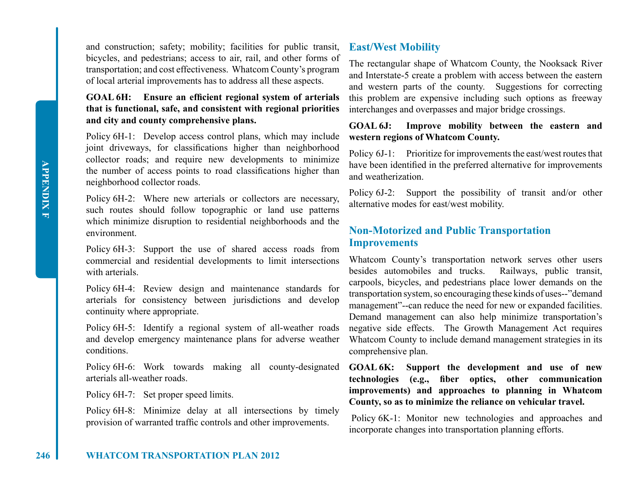and construction; safety; mobility; facilities for public transit, bicycles, and pedestrians; access to air, rail, and other forms of transportation; and cost effectiveness. Whatcom County's program of local arterial improvements has to address all these aspects.

## **GOAL 6H: Ensure an efficient regional system of arterials that is functional, safe, and consistent with regional priorities and city and county comprehensive plans.**

Policy 6H-1: Develop access control plans, which may include joint driveways, for classifications higher than neighborhood collector roads; and require new developments to minimize the number of access points to road classifications higher than neighborhood collector roads.

Policy 6H-2: Where new arterials or collectors are necessary, such routes should follow topographic or land use patterns which minimize disruption to residential neighborhoods and the environment.

Policy 6H-3: Support the use of shared access roads from commercial and residential developments to limit intersections with arterials.

Policy 6H-4: Review design and maintenance standards for arterials for consistency between jurisdictions and develop continuity where appropriate.

Policy 6H-5: Identify a regional system of all-weather roads and develop emergency maintenance plans for adverse weather conditions.

Policy 6H-6: Work towards making all county-designated arterials all-weather roads.

Policy 6H-7: Set proper speed limits.

Policy 6H-8: Minimize delay at all intersections by timely provision of warranted traffic controls and other improvements.

## **East/West Mobility**

The rectangular shape of Whatcom County, the Nooksack River and Interstate-5 create a problem with access between the eastern and western parts of the county. Suggestions for correcting this problem are expensive including such options as freeway interchanges and overpasses and major bridge crossings.

## **GOAL 6J: Improve mobility between the eastern and western regions of Whatcom County.**

Policy 6J-1: Prioritize for improvements the east/west routes that have been identified in the preferred alternative for improvements and weatherization.

Policy 6J-2: Support the possibility of transit and/or other alternative modes for east/west mobility.

## **Non-Motorized and Public Transportation Improvements**

Whatcom County's transportation network serves other users besides automobiles and trucks. Railways, public transit, carpools, bicycles, and pedestrians place lower demands on the transportation system, so encouraging these kinds of uses--"demand management"--can reduce the need for new or expanded facilities. Demand management can also help minimize transportation's negative side effects. The Growth Management Act requires Whatcom County to include demand management strategies in its comprehensive plan.

**GOAL 6K: Support the development and use of new technologies (e.g., fiber optics, other communication improvements) and approaches to planning in Whatcom County, so as to minimize the reliance on vehicular travel.**

 Policy 6K-1: Monitor new technologies and approaches and incorporate changes into transportation planning efforts.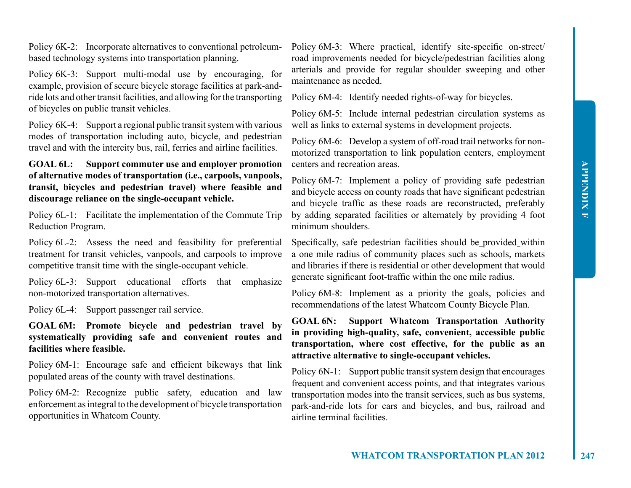Policy 6K-2: Incorporate alternatives to conventional petroleumbased technology systems into transportation planning.

Policy 6K-3: Support multi-modal use by encouraging, for example, provision of secure bicycle storage facilities at park-andride lots and other transit facilities, and allowing for the transporting of bicycles on public transit vehicles.

Policy 6K-4: Support a regional public transit system with various modes of transportation including auto, bicycle, and pedestrian travel and with the intercity bus, rail, ferries and airline facilities.

## **GOAL 6L: Support commuter use and employer promotion of alternative modes of transportation (i.e., carpools, vanpools, transit, bicycles and pedestrian travel) where feasible and discourage reliance on the single-occupant vehicle.**

Policy 6L-1: Facilitate the implementation of the Commute Trip Reduction Program.

Policy 6L-2: Assess the need and feasibility for preferential treatment for transit vehicles, vanpools, and carpools to improve competitive transit time with the single-occupant vehicle.

Policy 6L-3: Support educational efforts that emphasize non-motorized transportation alternatives.

Policy 6L-4: Support passenger rail service.

## **GOAL 6M: Promote bicycle and pedestrian travel by systematically providing safe and convenient routes and facilities where feasible.**

Policy 6M-1: Encourage safe and efficient bikeways that link populated areas of the county with travel destinations.

Policy 6M-2: Recognize public safety, education and law enforcement as integral to the development of bicycle transportation opportunities in Whatcom County.

Policy 6M-3: Where practical, identify site-specific on-street/ road improvements needed for bicycle/pedestrian facilities along arterials and provide for regular shoulder sweeping and other maintenance as needed.

Policy 6M-4: Identify needed rights-of-way for bicycles.

Policy 6M-5: Include internal pedestrian circulation systems as well as links to external systems in development projects.

Policy 6M-6: Develop a system of off-road trail networks for nonmotorized transportation to link population centers, employment centers and recreation areas.

Policy 6M-7: Implement a policy of providing safe pedestrian and bicycle access on county roads that have significant pedestrian and bicycle traffic as these roads are reconstructed, preferably by adding separated facilities or alternately by providing 4 foot minimum shoulders.

Specifically, safe pedestrian facilities should be provided within a one mile radius of community places such as schools, markets and libraries if there is residential or other development that would generate significant foot-traffic within the one mile radius.

Policy 6M-8: Implement as a priority the goals, policies and recommendations of the latest Whatcom County Bicycle Plan.

## **GOAL 6N: Support Whatcom Transportation Authority in providing high-quality, safe, convenient, accessible public transportation, where cost effective, for the public as an attractive alternative to single-occupant vehicles.**

Policy 6N-1: Support public transit system design that encourages frequent and convenient access points, and that integrates various transportation modes into the transit services, such as bus systems, park-and-ride lots for cars and bicycles, and bus, railroad and airline terminal facilities.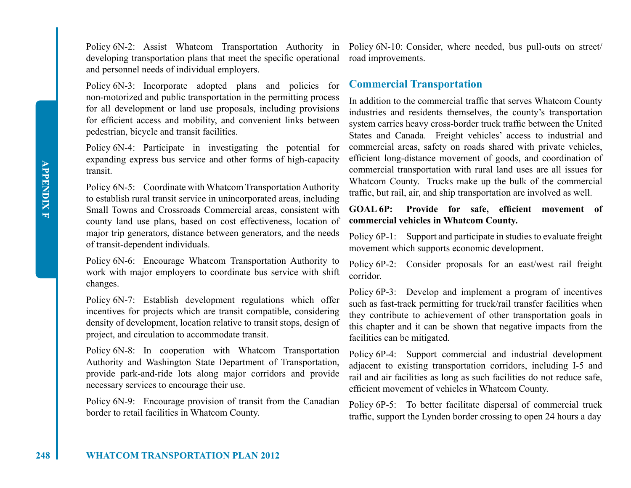developing transportation plans that meet the specific operational road improvements. and personnel needs of individual employers.

Policy 6N-3: Incorporate adopted plans and policies for non-motorized and public transportation in the permitting process for all development or land use proposals, including provisions for efficient access and mobility, and convenient links between pedestrian, bicycle and transit facilities.

Policy 6N-4: Participate in investigating the potential for expanding express bus service and other forms of high-capacity transit.

Policy 6N-5: Coordinate with Whatcom Transportation Authority to establish rural transit service in unincorporated areas, including Small Towns and Crossroads Commercial areas, consistent with county land use plans, based on cost effectiveness, location of major trip generators, distance between generators, and the needs of transit-dependent individuals.

Policy 6N-6: Encourage Whatcom Transportation Authority to work with major employers to coordinate bus service with shift changes.

Policy 6N-7: Establish development regulations which offer incentives for projects which are transit compatible, considering density of development, location relative to transit stops, design of project, and circulation to accommodate transit.

Policy 6N-8: In cooperation with Whatcom Transportation Authority and Washington State Department of Transportation, provide park-and-ride lots along major corridors and provide necessary services to encourage their use.

Policy 6N-9: Encourage provision of transit from the Canadian border to retail facilities in Whatcom County.

Policy 6N-2: Assist Whatcom Transportation Authority in Policy 6N-10: Consider, where needed, bus pull-outs on street/

## **Commercial Transportation**

In addition to the commercial traffic that serves Whatcom County industries and residents themselves, the county's transportation system carries heavy cross-border truck traffic between the United States and Canada. Freight vehicles' access to industrial and commercial areas, safety on roads shared with private vehicles, efficient long-distance movement of goods, and coordination of commercial transportation with rural land uses are all issues for Whatcom County. Trucks make up the bulk of the commercial traffic, but rail, air, and ship transportation are involved as well.

**GOAL 6P: Provide for safe, efficient movement of commercial vehicles in Whatcom County.**

Policy 6P-1: Support and participate in studies to evaluate freight movement which supports economic development.

Policy 6P-2: Consider proposals for an east/west rail freight corridor.

Policy 6P-3: Develop and implement a program of incentives such as fast-track permitting for truck/rail transfer facilities when they contribute to achievement of other transportation goals in this chapter and it can be shown that negative impacts from the facilities can be mitigated.

Policy 6P-4: Support commercial and industrial development adjacent to existing transportation corridors, including I-5 and rail and air facilities as long as such facilities do not reduce safe, efficient movement of vehicles in Whatcom County.

Policy 6P-5: To better facilitate dispersal of commercial truck traffic, support the Lynden border crossing to open 24 hours a day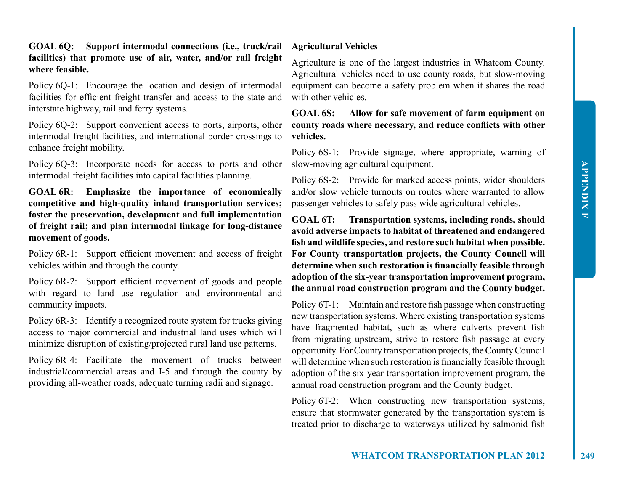**GOAL 6Q: Support intermodal connections (i.e., truck/rail facilities) that promote use of air, water, and/or rail freight where feasible.**

Policy 6Q-1: Encourage the location and design of intermodal facilities for efficient freight transfer and access to the state and interstate highway, rail and ferry systems.

Policy 6Q-2: Support convenient access to ports, airports, other intermodal freight facilities, and international border crossings to enhance freight mobility.

Policy 6Q-3: Incorporate needs for access to ports and other intermodal freight facilities into capital facilities planning.

**GOAL 6R: Emphasize the importance of economically competitive and high-quality inland transportation services; foster the preservation, development and full implementation of freight rail; and plan intermodal linkage for long-distance movement of goods.**

Policy 6R-1: Support efficient movement and access of freight vehicles within and through the county.

Policy 6R-2: Support efficient movement of goods and people with regard to land use regulation and environmental and community impacts.

Policy 6R-3: Identify a recognized route system for trucks giving access to major commercial and industrial land uses which will minimize disruption of existing/projected rural land use patterns.

Policy 6R-4: Facilitate the movement of trucks between industrial/commercial areas and I-5 and through the county by providing all-weather roads, adequate turning radii and signage.

## **Agricultural Vehicles**

Agriculture is one of the largest industries in Whatcom County. Agricultural vehicles need to use county roads, but slow-moving equipment can become a safety problem when it shares the road with other vehicles.

**GOAL 6S: Allow for safe movement of farm equipment on county roads where necessary, and reduce conflicts with other vehicles.**

Policy 6S-1: Provide signage, where appropriate, warning of slow-moving agricultural equipment.

Policy 6S-2: Provide for marked access points, wider shoulders and/or slow vehicle turnouts on routes where warranted to allow passenger vehicles to safely pass wide agricultural vehicles.

**GOAL 6T: Transportation systems, including roads, should avoid adverse impacts to habitat of threatened and endangered fish and wildlife species, and restore such habitat when possible. For County transportation projects, the County Council will determine when such restoration is financially feasible through adoption of the six-year transportation improvement program, the annual road construction program and the County budget.**

Policy 6T-1: Maintain and restore fish passage when constructing new transportation systems. Where existing transportation systems have fragmented habitat, such as where culverts prevent fish from migrating upstream, strive to restore fish passage at every opportunity. For County transportation projects, the County Council will determine when such restoration is financially feasible through adoption of the six-year transportation improvement program, the annual road construction program and the County budget.

Policy 6T-2: When constructing new transportation systems, ensure that stormwater generated by the transportation system is treated prior to discharge to waterways utilized by salmonid fish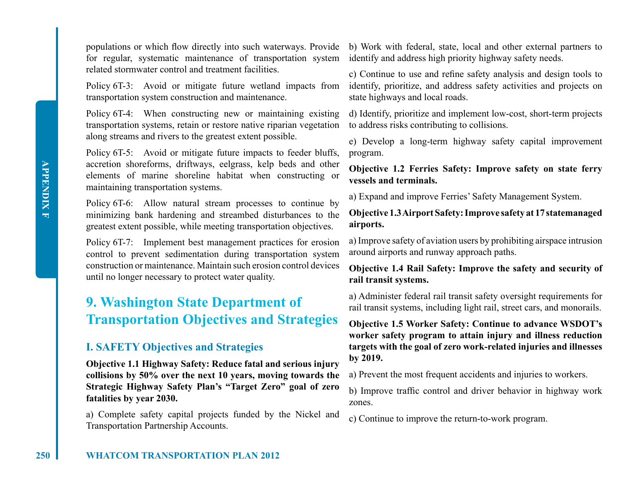for regular, systematic maintenance of transportation system identify and address high priority highway safety needs. related stormwater control and treatment facilities.

Policy 6T-3: Avoid or mitigate future wetland impacts from transportation system construction and maintenance.

Policy 6T-4: When constructing new or maintaining existing transportation systems, retain or restore native riparian vegetation along streams and rivers to the greatest extent possible.

Policy 6T-5: Avoid or mitigate future impacts to feeder bluffs, accretion shoreforms, driftways, eelgrass, kelp beds and other elements of marine shoreline habitat when constructing or maintaining transportation systems.

Policy 6T-6: Allow natural stream processes to continue by minimizing bank hardening and streambed disturbances to the greatest extent possible, while meeting transportation objectives.

Policy 6T-7: Implement best management practices for erosion control to prevent sedimentation during transportation system construction or maintenance. Maintain such erosion control devices until no longer necessary to protect water quality.

## **9. Washington State Department of Transportation Objectives and Strategies**

## **I. SAFETY Objectives and Strategies**

**Objective 1.1 Highway Safety: Reduce fatal and serious injury collisions by 50% over the next 10 years, moving towards the Strategic Highway Safety Plan's "Target Zero" goal of zero fatalities by year 2030.**

a) Complete safety capital projects funded by the Nickel and Transportation Partnership Accounts.

populations or which flow directly into such waterways. Provide b) Work with federal, state, local and other external partners to

c) Continue to use and refine safety analysis and design tools to identify, prioritize, and address safety activities and projects on state highways and local roads.

d) Identify, prioritize and implement low-cost, short-term projects to address risks contributing to collisions.

e) Develop a long-term highway safety capital improvement program.

**Objective 1.2 Ferries Safety: Improve safety on state ferry vessels and terminals.**

a) Expand and improve Ferries' Safety Management System.

**Objective 1.3AirportSafety:Improve safety at 17 statemanaged airports.**

a) Improve safety of aviation users by prohibiting airspace intrusion around airports and runway approach paths.

## **Objective 1.4 Rail Safety: Improve the safety and security of rail transit systems.**

a) Administer federal rail transit safety oversight requirements for rail transit systems, including light rail, street cars, and monorails.

**Objective 1.5 Worker Safety: Continue to advance WSDOT's worker safety program to attain injury and illness reduction targets with the goal of zero work-related injuries and illnesses by 2019.**

a) Prevent the most frequent accidents and injuries to workers.

b) Improve traffic control and driver behavior in highway work zones.

c) Continue to improve the return-to-work program.

**APPENDIX F**

**APPENDIX F**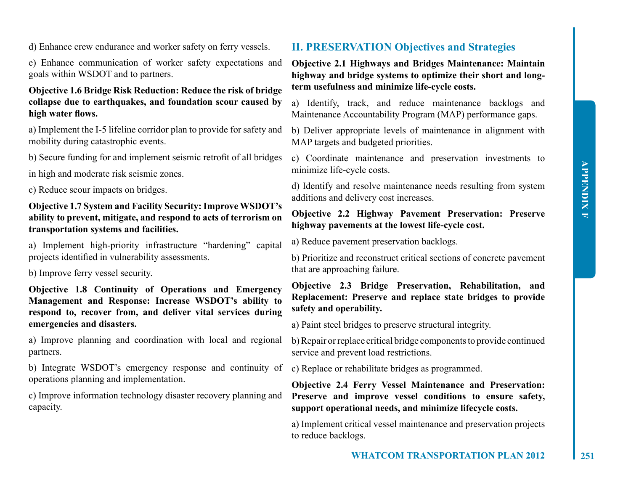d) Enhance crew endurance and worker safety on ferry vessels.

e) Enhance communication of worker safety expectations and goals within WSDOT and to partners.

## **Objective 1.6 Bridge Risk Reduction: Reduce the risk of bridge collapse due to earthquakes, and foundation scour caused by high water flows.**

a) Implement the I-5 lifeline corridor plan to provide for safety and mobility during catastrophic events.

b) Secure funding for and implement seismic retrofit of all bridges

in high and moderate risk seismic zones.

c) Reduce scour impacts on bridges.

## **Objective 1.7 System and Facility Security:Improve WSDOT's ability to prevent, mitigate, and respond to acts of terrorism on transportation systems and facilities.**

a) Implement high-priority infrastructure "hardening" capital projects identified in vulnerability assessments.

b) Improve ferry vessel security.

**Objective 1.8 Continuity of Operations and Emergency Management and Response: Increase WSDOT's ability to respond to, recover from, and deliver vital services during emergencies and disasters.**

a) Improve planning and coordination with local and regional partners.

b) Integrate WSDOT's emergency response and continuity of operations planning and implementation.

c) Improve information technology disaster recovery planning and capacity.

## **II. PRESERVATION Objectives and Strategies**

**Objective 2.1 Highways and Bridges Maintenance: Maintain highway and bridge systems to optimize their short and longterm usefulness and minimize life-cycle costs.**

a) Identify, track, and reduce maintenance backlogs and Maintenance Accountability Program (MAP) performance gaps.

b) Deliver appropriate levels of maintenance in alignment with MAP targets and budgeted priorities.

c) Coordinate maintenance and preservation investments to minimize life-cycle costs.

d) Identify and resolve maintenance needs resulting from system additions and delivery cost increases.

## **Objective 2.2 Highway Pavement Preservation: Preserve highway pavements at the lowest life-cycle cost.**

a) Reduce pavement preservation backlogs.

b) Prioritize and reconstruct critical sections of concrete pavement that are approaching failure.

## **Objective 2.3 Bridge Preservation, Rehabilitation, and Replacement: Preserve and replace state bridges to provide safety and operability.**

a) Paint steel bridges to preserve structural integrity.

b) Repair or replace critical bridge components to provide continued service and prevent load restrictions.

c) Replace or rehabilitate bridges as programmed.

**Objective 2.4 Ferry Vessel Maintenance and Preservation: Preserve and improve vessel conditions to ensure safety, support operational needs, and minimize lifecycle costs.**

a) Implement critical vessel maintenance and preservation projects to reduce backlogs.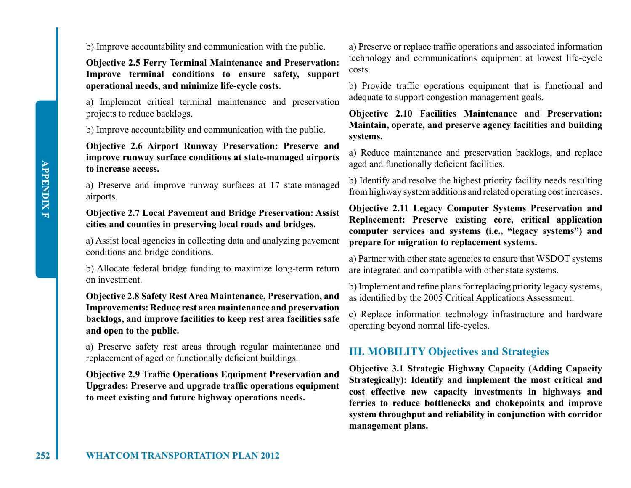b) Improve accountability and communication with the public.

**Objective 2.5 Ferry Terminal Maintenance and Preservation: Improve terminal conditions to ensure safety, support operational needs, and minimize life-cycle costs.**

a) Implement critical terminal maintenance and preservation projects to reduce backlogs.

b) Improve accountability and communication with the public.

## **Objective 2.6 Airport Runway Preservation: Preserve and improve runway surface conditions at state-managed airports to increase access.**

a) Preserve and improve runway surfaces at 17 state-managed airports.

## **Objective 2.7 Local Pavement and Bridge Preservation: Assist cities and counties in preserving local roads and bridges.**

a) Assist local agencies in collecting data and analyzing pavement conditions and bridge conditions.

b) Allocate federal bridge funding to maximize long-term return on investment.

**Objective 2.8 Safety Rest Area Maintenance, Preservation, and Improvements: Reduce rest area maintenance and preservation backlogs, and improve facilities to keep rest area facilities safe and open to the public.**

a) Preserve safety rest areas through regular maintenance and replacement of aged or functionally deficient buildings.

**Objective 2.9 Traffic Operations Equipment Preservation and Upgrades: Preserve and upgrade traffic operations equipment to meet existing and future highway operations needs.**

a) Preserve or replace traffic operations and associated information technology and communications equipment at lowest life-cycle costs.

b) Provide traffic operations equipment that is functional and adequate to support congestion management goals.

**Objective 2.10 Facilities Maintenance and Preservation: Maintain, operate, and preserve agency facilities and building systems.**

a) Reduce maintenance and preservation backlogs, and replace aged and functionally deficient facilities.

b) Identify and resolve the highest priority facility needs resulting from highway system additions and related operating cost increases.

**Objective 2.11 Legacy Computer Systems Preservation and Replacement: Preserve existing core, critical application computer services and systems (i.e., "legacy systems") and prepare for migration to replacement systems.**

a) Partner with other state agencies to ensure that WSDOT systems are integrated and compatible with other state systems.

b) Implement and refine plans for replacing priority legacy systems, as identified by the 2005 Critical Applications Assessment.

c) Replace information technology infrastructure and hardware operating beyond normal life-cycles.

## **III. MOBILITY Objectives and Strategies**

**Objective 3.1 Strategic Highway Capacity (Adding Capacity Strategically): Identify and implement the most critical and cost effective new capacity investments in highways and ferries to reduce bottlenecks and chokepoints and improve system throughput and reliability in conjunction with corridor management plans.**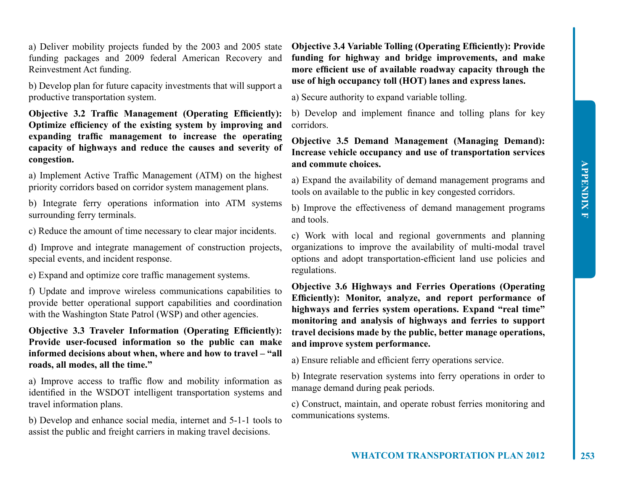a) Deliver mobility projects funded by the 2003 and 2005 state funding packages and 2009 federal American Recovery and Reinvestment Act funding.

b) Develop plan for future capacity investments that will support a productive transportation system.

**Objective 3.2 Traffic Management (Operating Efficiently): Optimize efficiency of the existing system by improving and expanding traffic management to increase the operating capacity of highways and reduce the causes and severity of congestion.**

a) Implement Active Traffic Management (ATM) on the highest priority corridors based on corridor system management plans.

b) Integrate ferry operations information into ATM systems surrounding ferry terminals.

c) Reduce the amount of time necessary to clear major incidents.

d) Improve and integrate management of construction projects, special events, and incident response.

e) Expand and optimize core traffic management systems.

f) Update and improve wireless communications capabilities to provide better operational support capabilities and coordination with the Washington State Patrol (WSP) and other agencies.

**Objective 3.3 Traveler Information (Operating Efficiently): Provide user-focused information so the public can make informed decisions about when, where and how to travel – "all roads, all modes, all the time."**

a) Improve access to traffic flow and mobility information as identified in the WSDOT intelligent transportation systems and travel information plans.

b) Develop and enhance social media, internet and 5-1-1 tools to assist the public and freight carriers in making travel decisions.

**Objective 3.4 Variable Tolling (Operating Efficiently): Provide funding for highway and bridge improvements, and make more efficient use of available roadway capacity through the use of high occupancy toll (HOT) lanes and express lanes.**

a) Secure authority to expand variable tolling.

b) Develop and implement finance and tolling plans for key corridors.

## **Objective 3.5 Demand Management (Managing Demand): Increase vehicle occupancy and use of transportation services and commute choices.**

a) Expand the availability of demand management programs and tools on available to the public in key congested corridors.

b) Improve the effectiveness of demand management programs and tools.

c) Work with local and regional governments and planning organizations to improve the availability of multi-modal travel options and adopt transportation-efficient land use policies and regulations.

**Objective 3.6 Highways and Ferries Operations (Operating Efficiently): Monitor, analyze, and report performance of highways and ferries system operations. Expand "real time" monitoring and analysis of highways and ferries to support travel decisions made by the public, better manage operations, and improve system performance.**

a) Ensure reliable and efficient ferry operations service.

b) Integrate reservation systems into ferry operations in order to manage demand during peak periods.

c) Construct, maintain, and operate robust ferries monitoring and communications systems.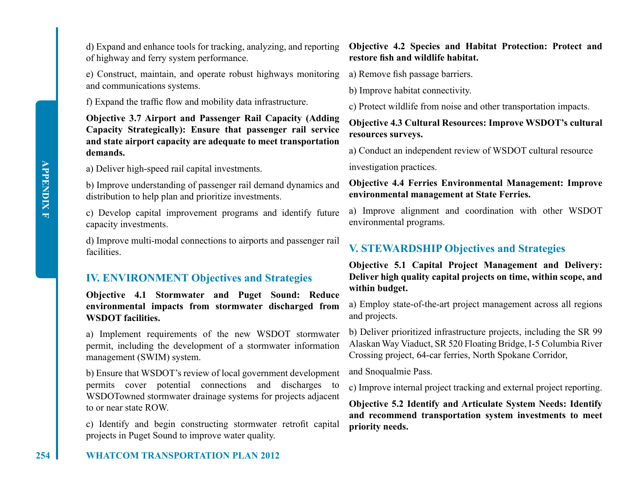of highway and ferry system performance.

e) Construct, maintain, and operate robust highways monitoring a) Remove fish passage barriers. and communications systems.

f) Expand the traffic flow and mobility data infrastructure.

**Objective 3.7 Airport and Passenger Rail Capacity (Adding Capacity Strategically): Ensure that passenger rail service and state airport capacity are adequate to meet transportation demands.**

a) Deliver high-speed rail capital investments.

b) Improve understanding of passenger rail demand dynamics and distribution to help plan and prioritize investments.

c) Develop capital improvement programs and identify future capacity investments.

d) Improve multi-modal connections to airports and passenger rail facilities.

## **IV. ENVIRONMENT Objectives and Strategies**

**Objective 4.1 Stormwater and Puget Sound: Reduce environmental impacts from stormwater discharged from WSDOT facilities.**

a) Implement requirements of the new WSDOT stormwater permit, including the development of a stormwater information management (SWIM) system.

b) Ensure that WSDOT's review of local government development permits cover potential connections and discharges to WSDOTowned stormwater drainage systems for projects adjacent to or near state ROW.

c) Identify and begin constructing stormwater retrofit capital projects in Puget Sound to improve water quality.

## d) Expand and enhance tools for tracking, analyzing, and reporting **Objective 4.2 Species and Habitat Protection: Protect and restore fish and wildlife habitat.**

b) Improve habitat connectivity.

c) Protect wildlife from noise and other transportation impacts.

## **Objective 4.3 Cultural Resources: Improve WSDOT's cultural resources surveys.**

a) Conduct an independent review of WSDOT cultural resource

investigation practices.

## **Objective 4.4 Ferries Environmental Management: Improve environmental management at State Ferries.**

a) Improve alignment and coordination with other WSDOT environmental programs.

## **V. STEWARDSHIP Objectives and Strategies**

**Objective 5.1 Capital Project Management and Delivery: Deliver high quality capital projects on time, within scope, and within budget.**

a) Employ state-of-the-art project management across all regions and projects.

b) Deliver prioritized infrastructure projects, including the SR 99 Alaskan Way Viaduct, SR 520 Floating Bridge, I-5 Columbia River Crossing project, 64-car ferries, North Spokane Corridor,

and Snoqualmie Pass.

c) Improve internal project tracking and external project reporting.

**Objective 5.2 Identify and Articulate System Needs: Identify and recommend transportation system investments to meet priority needs.**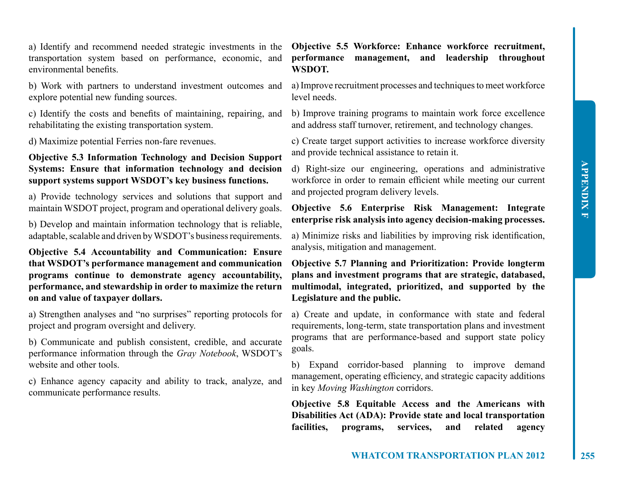a) Identify and recommend needed strategic investments in the transportation system based on performance, economic, and environmental benefits.

b) Work with partners to understand investment outcomes and explore potential new funding sources.

c) Identify the costs and benefits of maintaining, repairing, and rehabilitating the existing transportation system.

d) Maximize potential Ferries non-fare revenues.

## **Objective 5.3 Information Technology and Decision Support Systems: Ensure that information technology and decision support systems support WSDOT's key business functions.**

a) Provide technology services and solutions that support and maintain WSDOT project, program and operational delivery goals.

b) Develop and maintain information technology that is reliable, adaptable, scalable and driven by WSDOT's business requirements.

**Objective 5.4 Accountability and Communication: Ensure that WSDOT's performance management and communication programs continue to demonstrate agency accountability, performance, and stewardship in order to maximize the return on and value of taxpayer dollars.**

a) Strengthen analyses and "no surprises" reporting protocols for project and program oversight and delivery.

b) Communicate and publish consistent, credible, and accurate performance information through the *Gray Notebook*, WSDOT's website and other tools.

c) Enhance agency capacity and ability to track, analyze, and communicate performance results.

**Objective 5.5 Workforce: Enhance workforce recruitment, performance management, and leadership throughout WSDOT.**

a) Improve recruitment processes and techniques to meet workforce level needs.

b) Improve training programs to maintain work force excellence and address staff turnover, retirement, and technology changes.

c) Create target support activities to increase workforce diversity and provide technical assistance to retain it.

d) Right-size our engineering, operations and administrative workforce in order to remain efficient while meeting our current and projected program delivery levels.

**Objective 5.6 Enterprise Risk Management: Integrate enterprise risk analysis into agency decision-making processes.**

a) Minimize risks and liabilities by improving risk identification, analysis, mitigation and management.

**Objective 5.7 Planning and Prioritization: Provide longterm plans and investment programs that are strategic, databased, multimodal, integrated, prioritized, and supported by the Legislature and the public.**

a) Create and update, in conformance with state and federal requirements, long-term, state transportation plans and investment programs that are performance-based and support state policy goals.

b) Expand corridor-based planning to improve demand management, operating efficiency, and strategic capacity additions in key *Moving Washington* corridors.

**Objective 5.8 Equitable Access and the Americans with Disabilities Act (ADA): Provide state and local transportation facilities, programs, services, and related agency**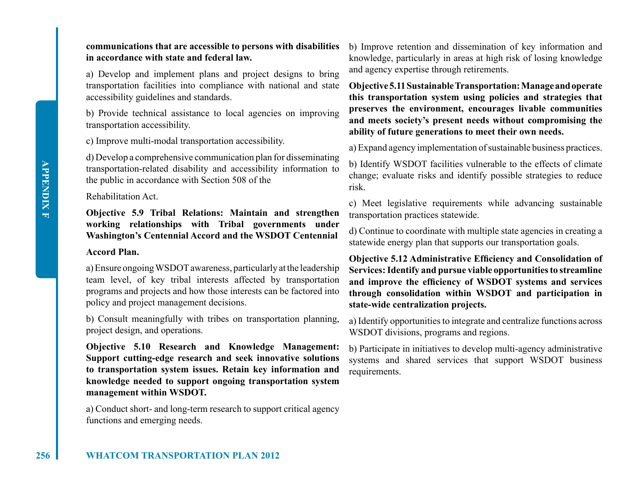## **communications that are accessible to persons with disabilities in accordance with state and federal law.**

a) Develop and implement plans and project designs to bring transportation facilities into compliance with national and state accessibility guidelines and standards.

b) Provide technical assistance to local agencies on improving transportation accessibility.

c) Improve multi-modal transportation accessibility.

d) Develop a comprehensive communication plan for disseminating transportation-related disability and accessibility information to the public in accordance with Section 508 of the

### Rehabilitation Act.

**Objective 5.9 Tribal Relations: Maintain and strengthen working relationships with Tribal governments under Washington's Centennial Accord and the WSDOT Centennial**

## **Accord Plan.**

a) Ensure ongoing WSDOT awareness, particularly at the leadership team level, of key tribal interests affected by transportation programs and projects and how those interests can be factored into policy and project management decisions.

b) Consult meaningfully with tribes on transportation planning, project design, and operations.

**Objective 5.10 Research and Knowledge Management: Support cutting-edge research and seek innovative solutions to transportation system issues. Retain key information and knowledge needed to support ongoing transportation system management within WSDOT.**

a) Conduct short- and long-term research to support critical agency functions and emerging needs.

b) Improve retention and dissemination of key information and knowledge, particularly in areas at high risk of losing knowledge and agency expertise through retirements.

**Objective5.11SustainableTransportation:Manageandoperate this transportation system using policies and strategies that preserves the environment, encourages livable communities and meets society's present needs without compromising the ability of future generations to meet their own needs.**

a) Expand agency implementation of sustainable business practices.

b) Identify WSDOT facilities vulnerable to the effects of climate change; evaluate risks and identify possible strategies to reduce risk.

c) Meet legislative requirements while advancing sustainable transportation practices statewide.

d) Continue to coordinate with multiple state agencies in creating a statewide energy plan that supports our transportation goals.

**Objective 5.12 Administrative Efficiency and Consolidation of Services: Identify and pursue viable opportunities to streamline and improve the efficiency of WSDOT systems and services through consolidation within WSDOT and participation in state-wide centralization projects.**

a) Identify opportunities to integrate and centralize functions across WSDOT divisions, programs and regions.

b) Participate in initiatives to develop multi-agency administrative systems and shared services that support WSDOT business requirements.